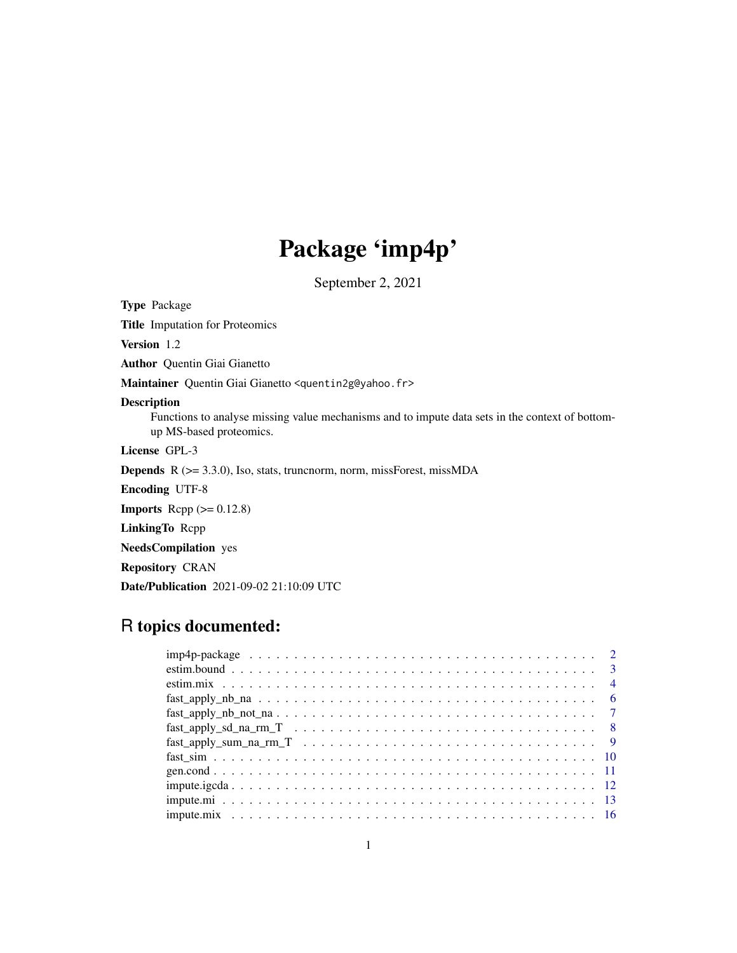## Package 'imp4p'

September 2, 2021

Type Package

Title Imputation for Proteomics

Version 1.2

Author Quentin Giai Gianetto

Maintainer Quentin Giai Gianetto <quentin2g@yahoo.fr>

#### Description

Functions to analyse missing value mechanisms and to impute data sets in the context of bottomup MS-based proteomics.

License GPL-3

**Depends**  $R$  ( $>= 3.3.0$ ), Iso, stats, truncnorm, norm, missForest, missMDA

Encoding UTF-8

**Imports** Rcpp  $(>= 0.12.8)$ 

LinkingTo Rcpp

NeedsCompilation yes

Repository CRAN

Date/Publication 2021-09-02 21:10:09 UTC

## R topics documented:

| $fast\_apply\_nb\_not\_na \ldots \ldots \ldots \ldots \ldots \ldots \ldots \ldots \ldots \ldots$ |
|--------------------------------------------------------------------------------------------------|
|                                                                                                  |
|                                                                                                  |
|                                                                                                  |
|                                                                                                  |
|                                                                                                  |
|                                                                                                  |
|                                                                                                  |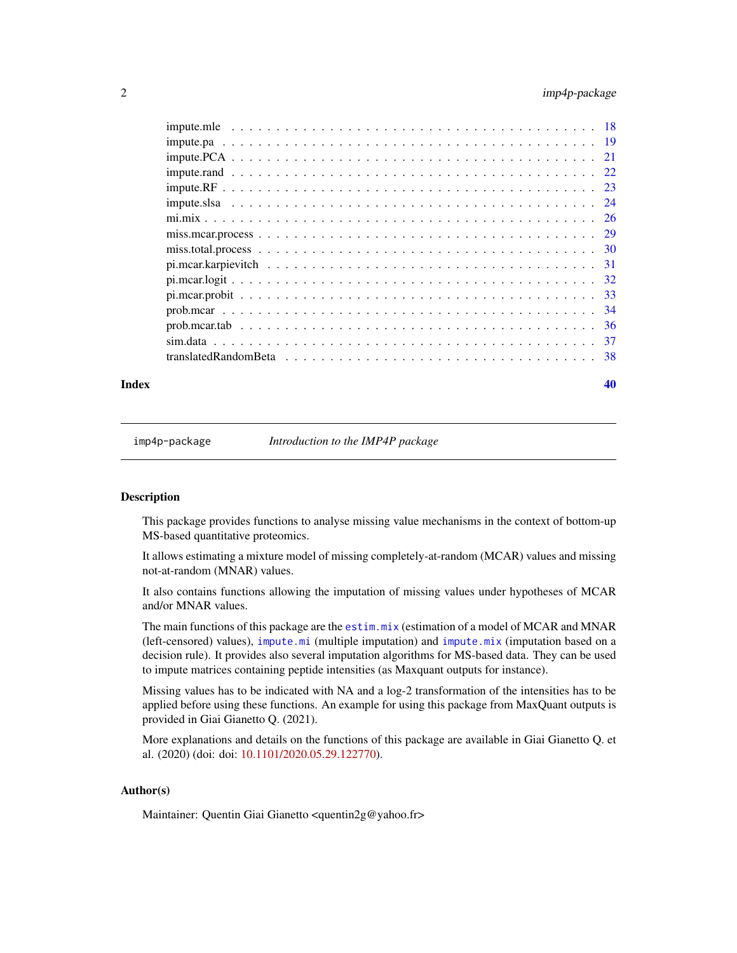## <span id="page-1-0"></span>2 imp4p-package

|  | -36 |
|--|-----|
|  |     |
|  |     |
|  |     |

#### $\blacksquare$

imp4p-package *Introduction to the IMP4P package*

## Description

This package provides functions to analyse missing value mechanisms in the context of bottom-up MS-based quantitative proteomics.

It allows estimating a mixture model of missing completely-at-random (MCAR) values and missing not-at-random (MNAR) values.

It also contains functions allowing the imputation of missing values under hypotheses of MCAR and/or MNAR values.

The main functions of this package are the [estim.mix](#page-3-1) (estimation of a model of MCAR and MNAR (left-censored) values), [impute.mi](#page-12-1) (multiple imputation) and [impute.mix](#page-15-1) (imputation based on a decision rule). It provides also several imputation algorithms for MS-based data. They can be used to impute matrices containing peptide intensities (as Maxquant outputs for instance).

Missing values has to be indicated with NA and a log-2 transformation of the intensities has to be applied before using these functions. An example for using this package from MaxQuant outputs is provided in Giai Gianetto Q. (2021).

More explanations and details on the functions of this package are available in Giai Gianetto Q. et al. (2020) (doi: doi: [10.1101/2020.05.29.122770\)](https://doi.org/10.1101/2020.05.29.122770).

## Author(s)

Maintainer: Quentin Giai Gianetto <quentin2g@yahoo.fr>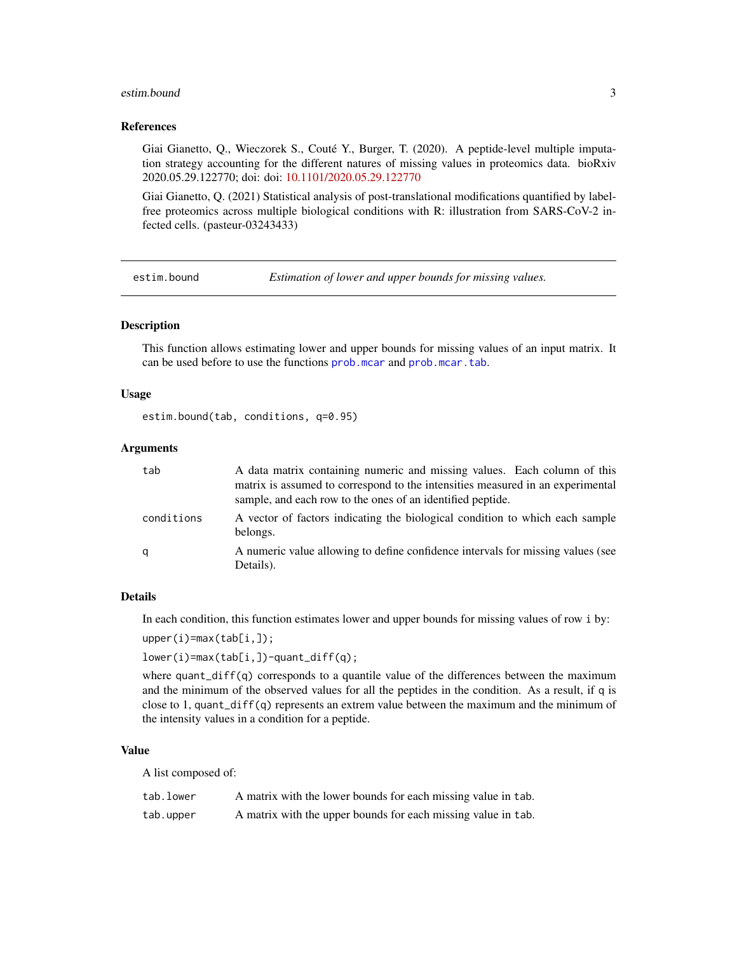#### <span id="page-2-0"></span>estim.bound 3

#### References

Giai Gianetto, Q., Wieczorek S., Couté Y., Burger, T. (2020). A peptide-level multiple imputation strategy accounting for the different natures of missing values in proteomics data. bioRxiv 2020.05.29.122770; doi: doi: [10.1101/2020.05.29.122770](https://doi.org/10.1101/2020.05.29.122770)

Giai Gianetto, Q. (2021) Statistical analysis of post-translational modifications quantified by labelfree proteomics across multiple biological conditions with R: illustration from SARS-CoV-2 infected cells. (pasteur-03243433)

estim.bound *Estimation of lower and upper bounds for missing values.*

## **Description**

This function allows estimating lower and upper bounds for missing values of an input matrix. It can be used before to use the functions [prob.mcar](#page-33-1) and [prob.mcar.tab](#page-35-1).

#### Usage

estim.bound(tab, conditions, q=0.95)

#### Arguments

| tab        | A data matrix containing numeric and missing values. Each column of this<br>matrix is assumed to correspond to the intensities measured in an experimental<br>sample, and each row to the ones of an identified peptide. |
|------------|--------------------------------------------------------------------------------------------------------------------------------------------------------------------------------------------------------------------------|
| conditions | A vector of factors indicating the biological condition to which each sample<br>belongs.                                                                                                                                 |
| q          | A numeric value allowing to define confidence intervals for missing values (see<br>Details).                                                                                                                             |

#### Details

In each condition, this function estimates lower and upper bounds for missing values of row i by:

```
upper(i)=max(tab[i,]);
```
lower(i)=max(tab[i,])-quant\_diff(q);

where quant\_diff(q) corresponds to a quantile value of the differences between the maximum and the minimum of the observed values for all the peptides in the condition. As a result, if q is close to 1, quant\_diff(q) represents an extrem value between the maximum and the minimum of the intensity values in a condition for a peptide.

#### Value

A list composed of:

| tab.lower | A matrix with the lower bounds for each missing value in tab. |
|-----------|---------------------------------------------------------------|
| tab.upper | A matrix with the upper bounds for each missing value in tab. |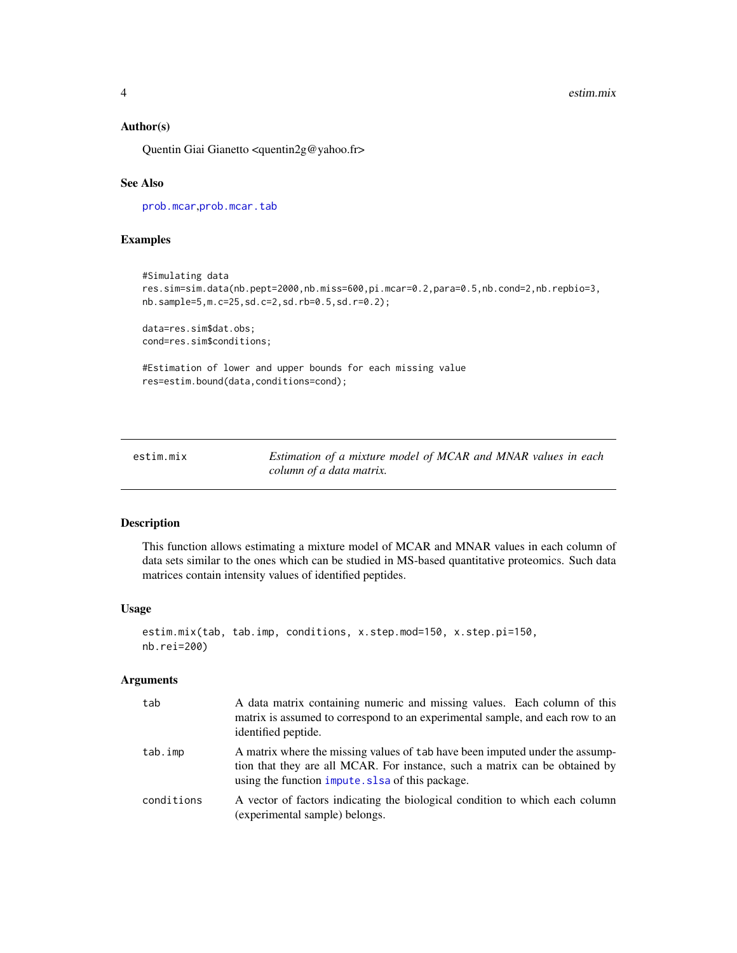## <span id="page-3-0"></span>Author(s)

Quentin Giai Gianetto <quentin2g@yahoo.fr>

## See Also

[prob.mcar](#page-33-1),[prob.mcar.tab](#page-35-1)

## Examples

```
#Simulating data
res.sim=sim.data(nb.pept=2000,nb.miss=600,pi.mcar=0.2,para=0.5,nb.cond=2,nb.repbio=3,
nb.sample=5,m.c=25,sd.c=2,sd.rb=0.5,sd.r=0.2);
data=res.sim$dat.obs;
cond=res.sim$conditions;
#Estimation of lower and upper bounds for each missing value
```
res=estim.bound(data,conditions=cond);

<span id="page-3-1"></span>

| estim.mix | Estimation of a mixture model of MCAR and MNAR values in each |
|-----------|---------------------------------------------------------------|
|           | column of a data matrix.                                      |

## Description

This function allows estimating a mixture model of MCAR and MNAR values in each column of data sets similar to the ones which can be studied in MS-based quantitative proteomics. Such data matrices contain intensity values of identified peptides.

#### Usage

```
estim.mix(tab, tab.imp, conditions, x.step.mod=150, x.step.pi=150,
nb.rei=200)
```
#### Arguments

| tab        | A data matrix containing numeric and missing values. Each column of this<br>matrix is assumed to correspond to an experimental sample, and each row to an<br>identified peptide.                                |
|------------|-----------------------------------------------------------------------------------------------------------------------------------------------------------------------------------------------------------------|
| tab.imp    | A matrix where the missing values of tab have been imputed under the assump-<br>tion that they are all MCAR. For instance, such a matrix can be obtained by<br>using the function impute. slsa of this package. |
| conditions | A vector of factors indicating the biological condition to which each column<br>(experimental sample) belongs.                                                                                                  |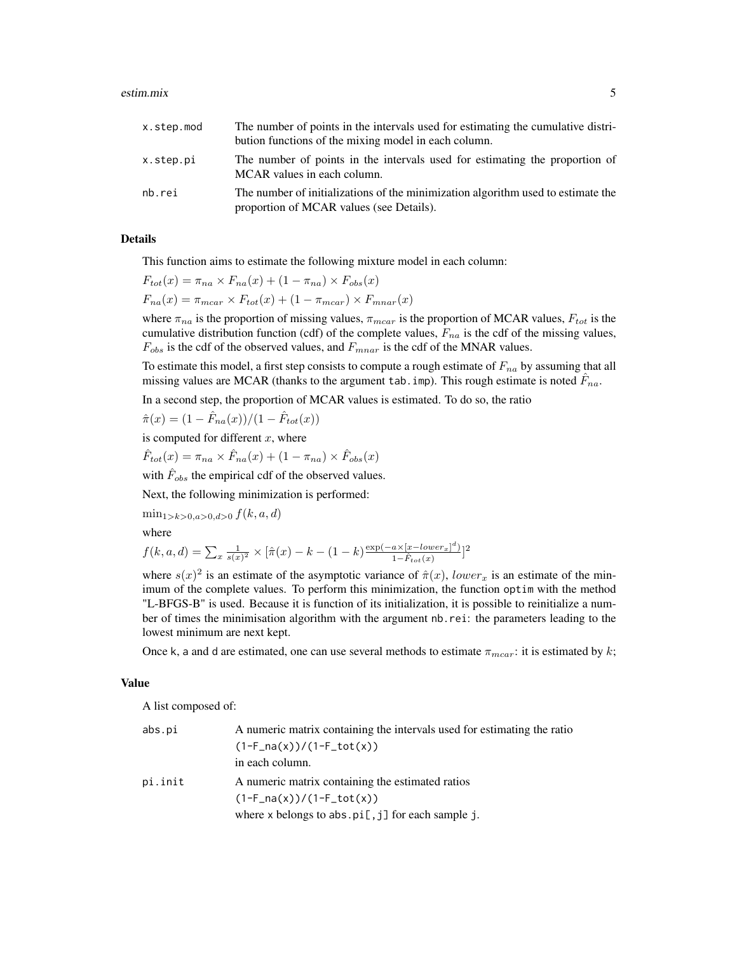#### estim.mix 5

| x.step.mod | The number of points in the intervals used for estimating the cumulative distri-<br>bution functions of the mixing model in each column. |
|------------|------------------------------------------------------------------------------------------------------------------------------------------|
| x.step.pi  | The number of points in the intervals used for estimating the proportion of<br>MCAR values in each column.                               |
| nb.rei     | The number of initializations of the minimization algorithm used to estimate the<br>proportion of MCAR values (see Details).             |

## Details

This function aims to estimate the following mixture model in each column:

$$
F_{tot}(x) = \pi_{na} \times F_{na}(x) + (1 - \pi_{na}) \times F_{obs}(x)
$$

$$
F_{na}(x) = \pi_{mcar} \times F_{tot}(x) + (1 - \pi_{mcar}) \times F_{mnar}(x)
$$

where  $\pi_{na}$  is the proportion of missing values,  $\pi_{mcar}$  is the proportion of MCAR values,  $F_{tot}$  is the cumulative distribution function (cdf) of the complete values,  $F_{na}$  is the cdf of the missing values,  $F_{obs}$  is the cdf of the observed values, and  $F_{mnar}$  is the cdf of the MNAR values.

To estimate this model, a first step consists to compute a rough estimate of  $F_{na}$  by assuming that all missing values are MCAR (thanks to the argument tab. imp). This rough estimate is noted  $\hat{F}_{na}$ .

In a second step, the proportion of MCAR values is estimated. To do so, the ratio

$$
\hat{\pi}(x) = (1 - \hat{F}_{na}(x))/(1 - \hat{F}_{tot}(x))
$$

is computed for different  $x$ , where

$$
\hat{F}_{tot}(x) = \pi_{na} \times \hat{F}_{na}(x) + (1 - \pi_{na}) \times \hat{F}_{obs}(x)
$$

with  $\hat{F}_{obs}$  the empirical cdf of the observed values.

Next, the following minimization is performed:

 $\min_{1>k>0, a>0, d>0} f(k, a, d)$ 

where

$$
f(k, a, d) = \sum_{x} \frac{1}{s(x)^2} \times [\hat{\pi}(x) - k - (1 - k) \frac{\exp(-a \times [x - lower_x]^d)}{1 - \hat{F}_{tot}(x)}]^2
$$

where  $s(x)^2$  is an estimate of the asymptotic variance of  $\hat{\pi}(x)$ , lower<sub>x</sub> is an estimate of the minimum of the complete values. To perform this minimization, the function optim with the method "L-BFGS-B" is used. Because it is function of its initialization, it is possible to reinitialize a number of times the minimisation algorithm with the argument nb.rei: the parameters leading to the lowest minimum are next kept.

Once k, a and d are estimated, one can use several methods to estimate  $\pi_{max}$ : it is estimated by k;

#### Value

A list composed of:

| abs.pi  | A numeric matrix containing the intervals used for estimating the ratio |
|---------|-------------------------------------------------------------------------|
|         | $(1-F_na(x))/(1-F_to(t(x)))$                                            |
|         | in each column.                                                         |
| pi.init | A numeric matrix containing the estimated ratios                        |
|         | $(1-F_na(x))/(1-F_to t(x))$                                             |
|         | where $x$ belongs to abs. $pi[, j]$ for each sample j.                  |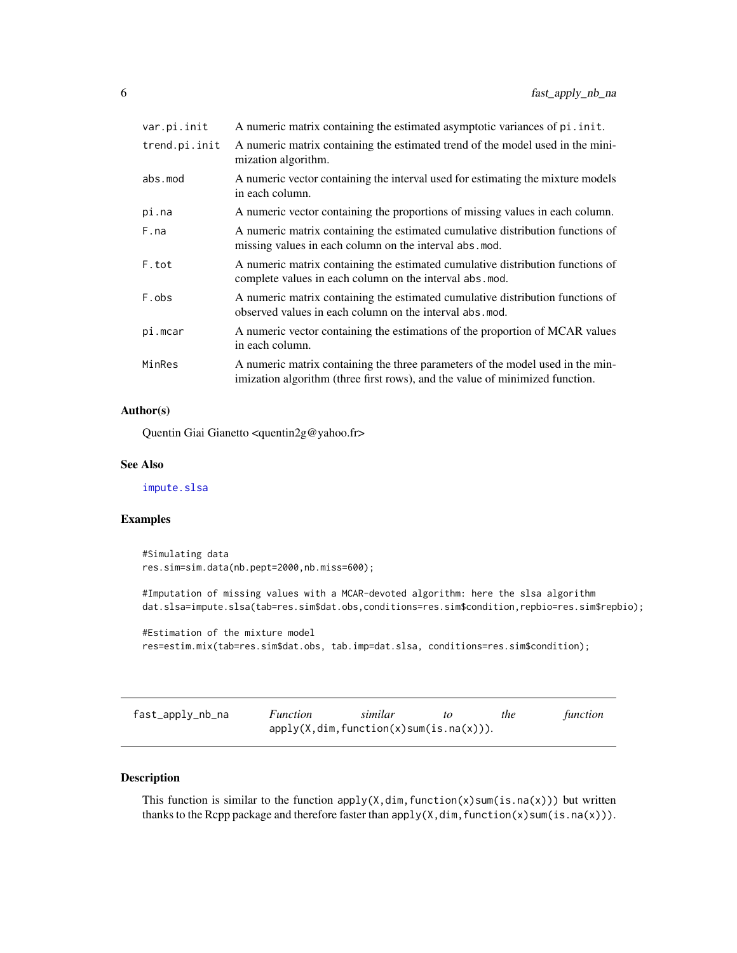<span id="page-5-0"></span>

| var.pi.init   | A numeric matrix containing the estimated asymptotic variances of pi. init.                                                                                    |
|---------------|----------------------------------------------------------------------------------------------------------------------------------------------------------------|
| trend.pi.init | A numeric matrix containing the estimated trend of the model used in the mini-<br>mization algorithm.                                                          |
| abs.mod       | A numeric vector containing the interval used for estimating the mixture models<br>in each column.                                                             |
| pi.na         | A numeric vector containing the proportions of missing values in each column.                                                                                  |
| F.na          | A numeric matrix containing the estimated cumulative distribution functions of<br>missing values in each column on the interval abs.mod.                       |
| F.tot         | A numeric matrix containing the estimated cumulative distribution functions of<br>complete values in each column on the interval abs.mod.                      |
| F.obs         | A numeric matrix containing the estimated cumulative distribution functions of<br>observed values in each column on the interval abs. mod.                     |
| pi.mcar       | A numeric vector containing the estimations of the proportion of MCAR values<br>in each column.                                                                |
| MinRes        | A numeric matrix containing the three parameters of the model used in the min-<br>imization algorithm (three first rows), and the value of minimized function. |
|               |                                                                                                                                                                |

## Author(s)

Quentin Giai Gianetto <quentin2g@yahoo.fr>

## See Also

[impute.slsa](#page-23-1)

## Examples

#Simulating data res.sim=sim.data(nb.pept=2000,nb.miss=600);

#Imputation of missing values with a MCAR-devoted algorithm: here the slsa algorithm dat.slsa=impute.slsa(tab=res.sim\$dat.obs,conditions=res.sim\$condition,repbio=res.sim\$repbio);

#Estimation of the mixture model res=estim.mix(tab=res.sim\$dat.obs, tab.imp=dat.slsa, conditions=res.sim\$condition);

| fast_apply_nb_na | <i>Function</i> | similar                                    | the | function |
|------------------|-----------------|--------------------------------------------|-----|----------|
|                  |                 | $apply(X,dim, function(x)sum(is.na(x)))$ . |     |          |

#### Description

This function is similar to the function  $apply(X,dim,function(x)sum(i.s.na(x)))$  but written thanks to the Rcpp package and therefore faster than  $apply(X, dim, function(x)sum(i.s.na(x)))$ .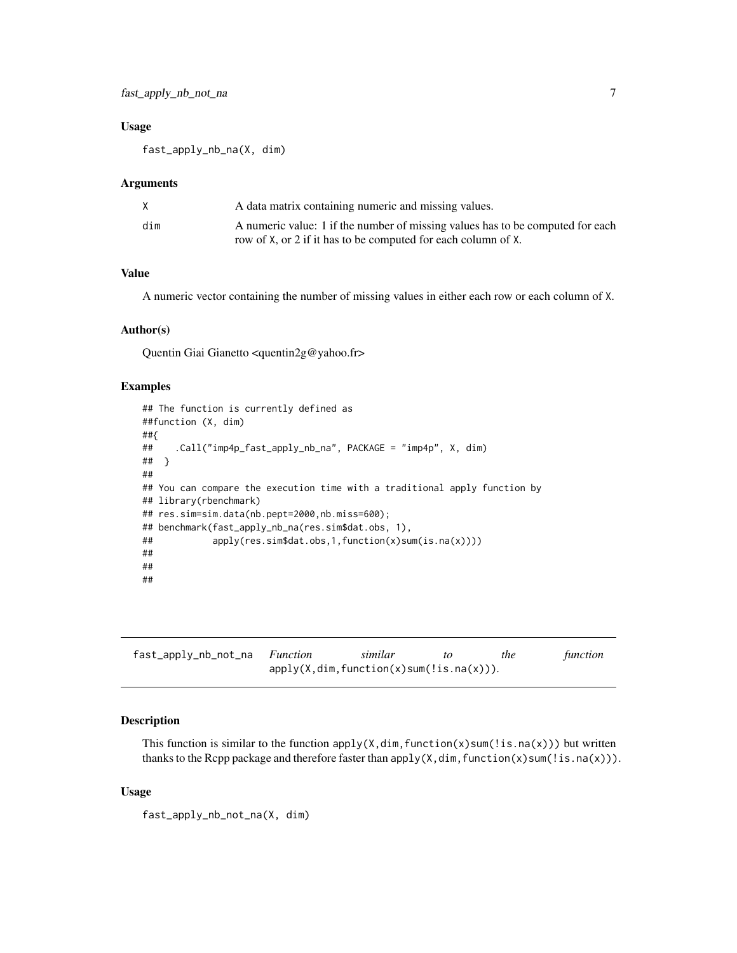## <span id="page-6-0"></span>Usage

fast\_apply\_nb\_na(X, dim)

#### Arguments

| X.  | A data matrix containing numeric and missing values.                                                                                            |
|-----|-------------------------------------------------------------------------------------------------------------------------------------------------|
| dim | A numeric value: 1 if the number of missing values has to be computed for each<br>row of X, or 2 if it has to be computed for each column of X. |

## Value

A numeric vector containing the number of missing values in either each row or each column of X.

## Author(s)

Quentin Giai Gianetto <quentin2g@yahoo.fr>

#### Examples

```
## The function is currently defined as
##function (X, dim)
##{
## .Call("imp4p_fast_apply_nb_na", PACKAGE = "imp4p", X, dim)
## }
##
## You can compare the execution time with a traditional apply function by
## library(rbenchmark)
## res.sim=sim.data(nb.pept=2000,nb.miss=600);
## benchmark(fast_apply_nb_na(res.sim$dat.obs, 1),
## apply(res.sim$dat.obs,1,function(x)sum(is.na(x))))
##
##
##
```

| fast_apply_nb_not_na Function | similar                                    | the | function |
|-------------------------------|--------------------------------------------|-----|----------|
|                               | $apply(X,dim, function(x)sum(!is.na(x))).$ |     |          |

## Description

This function is similar to the function  $apply(X, \dim, function(x)$ sum $(!is.na(x)))$  but written thanks to the Rcpp package and therefore faster than  $apply(X,dim,function(x)sum(!is.na(x)))$ .

#### Usage

fast\_apply\_nb\_not\_na(X, dim)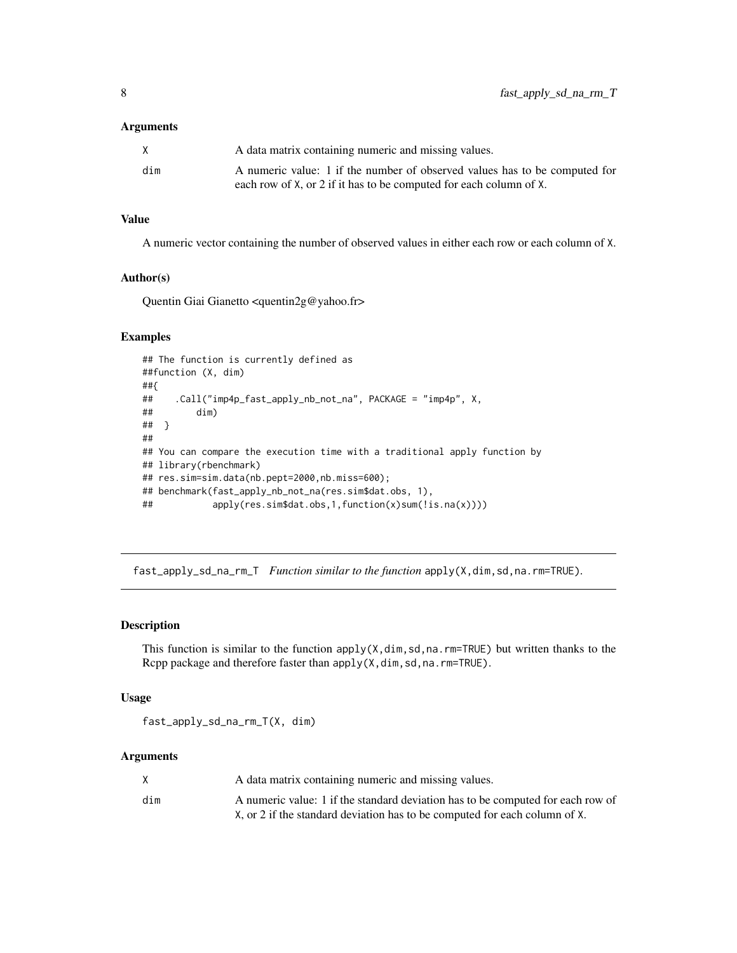#### <span id="page-7-0"></span>Arguments

|     | A data matrix containing numeric and missing values.                       |
|-----|----------------------------------------------------------------------------|
| dim | A numeric value: 1 if the number of observed values has to be computed for |
|     | each row of X, or 2 if it has to be computed for each column of X.         |

## Value

A numeric vector containing the number of observed values in either each row or each column of X.

#### Author(s)

Quentin Giai Gianetto <quentin2g@yahoo.fr>

## Examples

```
## The function is currently defined as
##function (X, dim)
##{
## .Call("imp4p_fast_apply_nb_not_na", PACKAGE = "imp4p", X,
## dim)
## }
##
## You can compare the execution time with a traditional apply function by
## library(rbenchmark)
## res.sim=sim.data(nb.pept=2000,nb.miss=600);
## benchmark(fast_apply_nb_not_na(res.sim$dat.obs, 1),
## apply(res.sim$dat.obs,1,function(x)sum(!is.na(x))))
```
fast\_apply\_sd\_na\_rm\_T *Function similar to the function* apply(X,dim,sd,na.rm=TRUE)*.*

#### Description

This function is similar to the function  $apply(X, dim, sd,na.\text{rm=TRUE})$  but written thanks to the Rcpp package and therefore faster than apply(X,dim,sd,na.rm=TRUE).

#### Usage

fast\_apply\_sd\_na\_rm\_T(X, dim)

## Arguments

| X   | A data matrix containing numeric and missing values.                            |
|-----|---------------------------------------------------------------------------------|
| dim | A numeric value: 1 if the standard deviation has to be computed for each row of |
|     | X, or 2 if the standard deviation has to be computed for each column of X.      |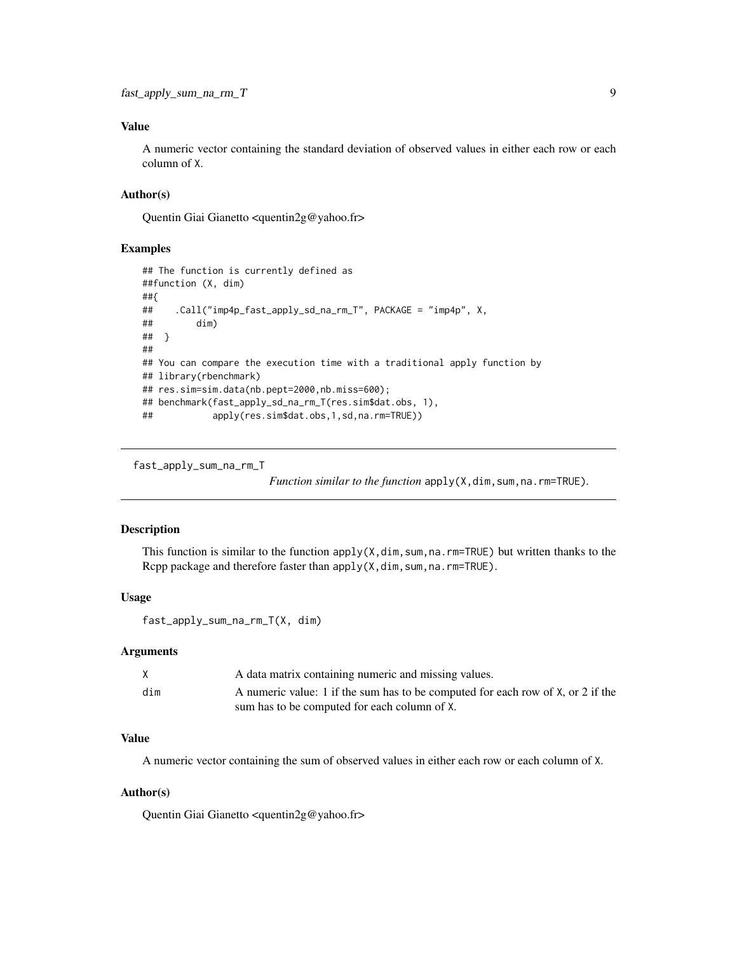## <span id="page-8-0"></span>Value

A numeric vector containing the standard deviation of observed values in either each row or each column of X.

## Author(s)

Quentin Giai Gianetto <quentin2g@yahoo.fr>

#### Examples

```
## The function is currently defined as
##function (X, dim)
##{
## .Call("imp4p_fast_apply_sd_na_rm_T", PACKAGE = "imp4p", X,
## dim)
## }
##
## You can compare the execution time with a traditional apply function by
## library(rbenchmark)
## res.sim=sim.data(nb.pept=2000,nb.miss=600);
## benchmark(fast_apply_sd_na_rm_T(res.sim$dat.obs, 1),
## apply(res.sim$dat.obs,1,sd,na.rm=TRUE))
```
fast\_apply\_sum\_na\_rm\_T

*Function similar to the function* apply(X,dim,sum,na.rm=TRUE).

## Description

This function is similar to the function  $apply(X, \text{dim}, \text{sum}, \text{max-TRUE})$  but written thanks to the Rcpp package and therefore faster than apply(X,dim, sum, na.rm=TRUE).

#### Usage

```
fast_apply_sum_na_rm_T(X, dim)
```
#### **Arguments**

|     | A data matrix containing numeric and missing values.                            |
|-----|---------------------------------------------------------------------------------|
| dim | A numeric value: 1 if the sum has to be computed for each row of X, or 2 if the |
|     | sum has to be computed for each column of X.                                    |

## Value

A numeric vector containing the sum of observed values in either each row or each column of X.

#### Author(s)

Quentin Giai Gianetto <quentin2g@yahoo.fr>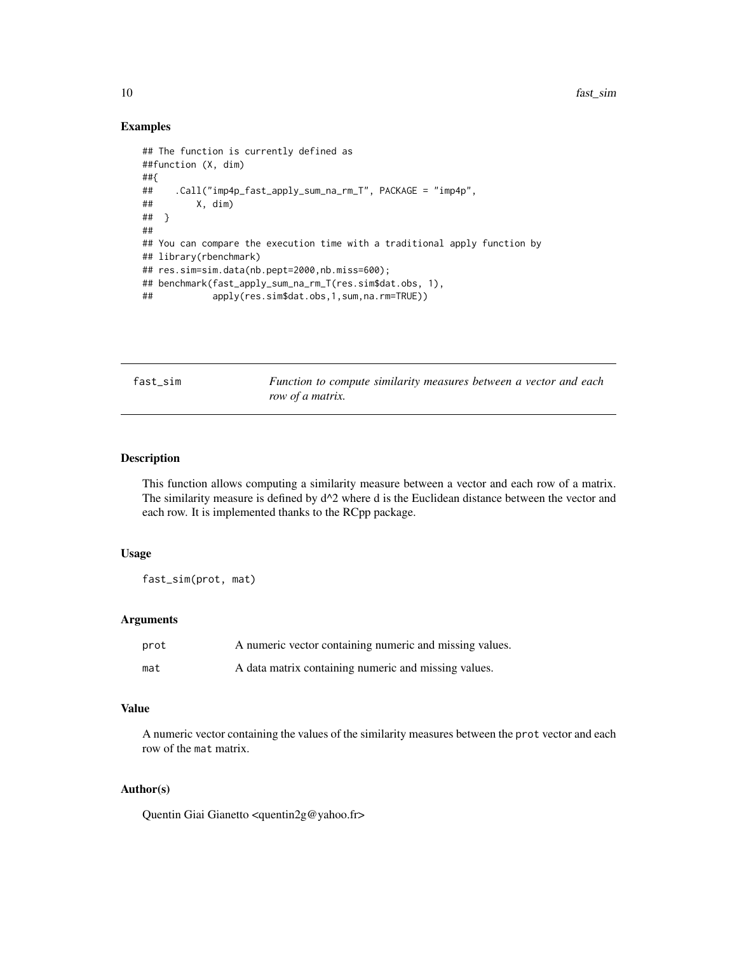#### Examples

```
## The function is currently defined as
##function (X, dim)
##{
## .Call("imp4p_fast_apply_sum_na_rm_T", PACKAGE = "imp4p",
## X, dim)
## }
##
## You can compare the execution time with a traditional apply function by
## library(rbenchmark)
## res.sim=sim.data(nb.pept=2000,nb.miss=600);
## benchmark(fast_apply_sum_na_rm_T(res.sim$dat.obs, 1),
## apply(res.sim$dat.obs,1,sum,na.rm=TRUE))
```
fast\_sim *Function to compute similarity measures between a vector and each row of a matrix.*

## Description

This function allows computing a similarity measure between a vector and each row of a matrix. The similarity measure is defined by  $d^2$  where d is the Euclidean distance between the vector and each row. It is implemented thanks to the RCpp package.

#### Usage

fast\_sim(prot, mat)

#### Arguments

| prot | A numeric vector containing numeric and missing values. |
|------|---------------------------------------------------------|
| mat  | A data matrix containing numeric and missing values.    |

#### Value

A numeric vector containing the values of the similarity measures between the prot vector and each row of the mat matrix.

## Author(s)

Quentin Giai Gianetto <quentin2g@yahoo.fr>

<span id="page-9-0"></span>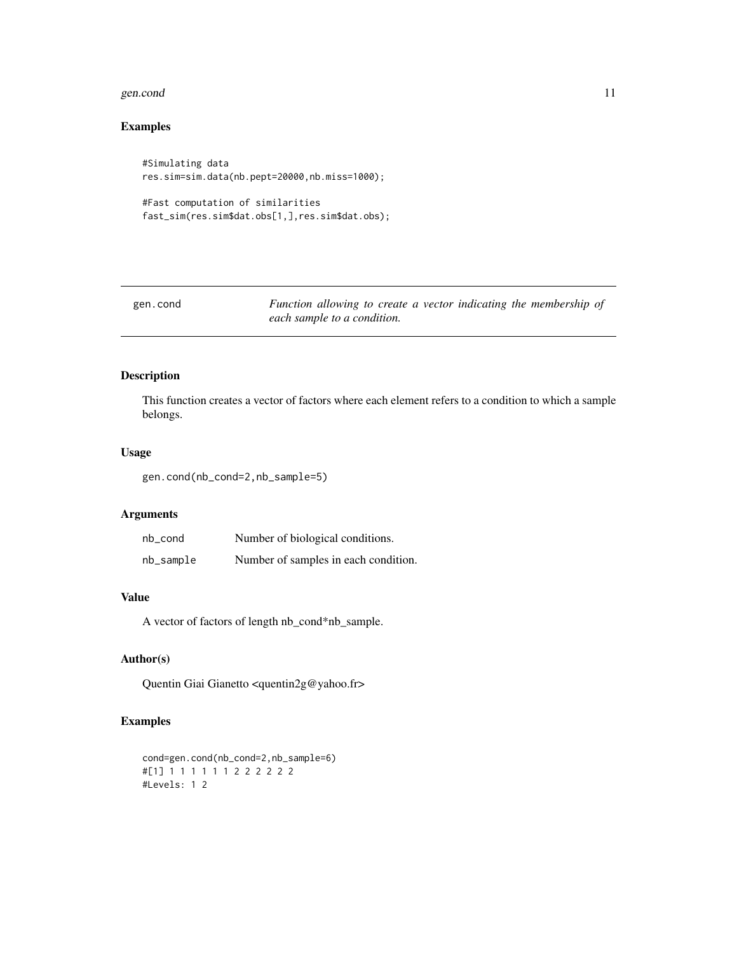#### <span id="page-10-0"></span>gen.cond 11

## Examples

```
#Simulating data
res.sim=sim.data(nb.pept=20000,nb.miss=1000);
```

```
#Fast computation of similarities
fast_sim(res.sim$dat.obs[1,],res.sim$dat.obs);
```

| gen.cond | Function allowing to create a vector indicating the membership of |  |
|----------|-------------------------------------------------------------------|--|
|          | each sample to a condition.                                       |  |

## Description

This function creates a vector of factors where each element refers to a condition to which a sample belongs.

## Usage

gen.cond(nb\_cond=2,nb\_sample=5)

#### Arguments

| nb_cond   | Number of biological conditions.     |
|-----------|--------------------------------------|
| nb_sample | Number of samples in each condition. |

## Value

A vector of factors of length nb\_cond\*nb\_sample.

## Author(s)

Quentin Giai Gianetto <quentin2g@yahoo.fr>

## Examples

```
cond=gen.cond(nb_cond=2,nb_sample=6)
#[1] 1 1 1 1 1 1 2 2 2 2 2 2
#Levels: 1 2
```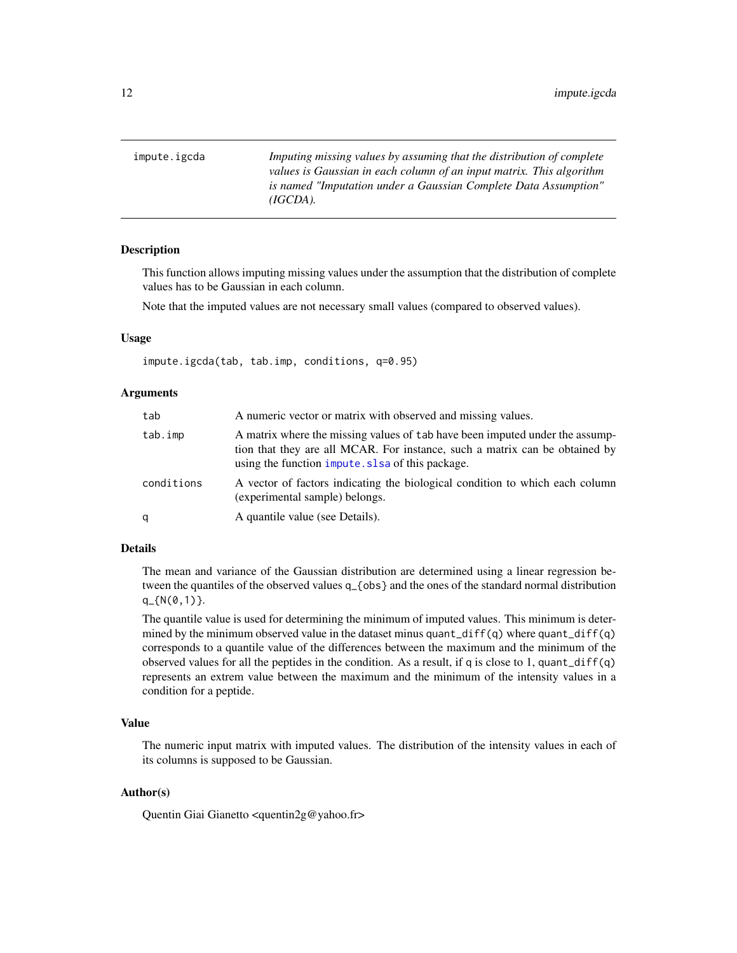<span id="page-11-1"></span><span id="page-11-0"></span>impute.igcda *Imputing missing values by assuming that the distribution of complete values is Gaussian in each column of an input matrix. This algorithm is named "Imputation under a Gaussian Complete Data Assumption" (IGCDA).*

#### **Description**

This function allows imputing missing values under the assumption that the distribution of complete values has to be Gaussian in each column.

Note that the imputed values are not necessary small values (compared to observed values).

#### Usage

impute.igcda(tab, tab.imp, conditions, q=0.95)

#### Arguments

| tab        | A numeric vector or matrix with observed and missing values.                                                                                                                                                    |
|------------|-----------------------------------------------------------------------------------------------------------------------------------------------------------------------------------------------------------------|
| tab.imp    | A matrix where the missing values of tab have been imputed under the assump-<br>tion that they are all MCAR. For instance, such a matrix can be obtained by<br>using the function impute. slsa of this package. |
| conditions | A vector of factors indicating the biological condition to which each column<br>(experimental sample) belongs.                                                                                                  |
| q          | A quantile value (see Details).                                                                                                                                                                                 |

#### Details

The mean and variance of the Gaussian distribution are determined using a linear regression between the quantiles of the observed values q\_{obs} and the ones of the standard normal distribution q\_{N(0,1)}.

The quantile value is used for determining the minimum of imputed values. This minimum is determined by the minimum observed value in the dataset minus quant\_diff(q) where quant\_diff(q) corresponds to a quantile value of the differences between the maximum and the minimum of the observed values for all the peptides in the condition. As a result, if q is close to 1, quant\_diff(q) represents an extrem value between the maximum and the minimum of the intensity values in a condition for a peptide.

#### Value

The numeric input matrix with imputed values. The distribution of the intensity values in each of its columns is supposed to be Gaussian.

## Author(s)

Quentin Giai Gianetto <quentin2g@yahoo.fr>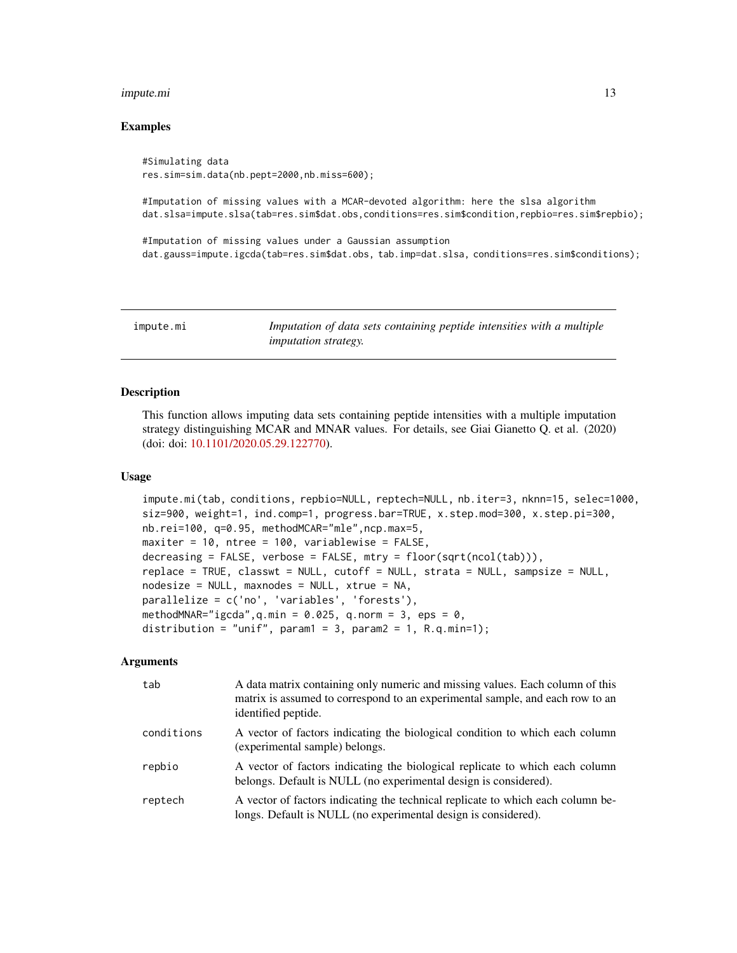#### <span id="page-12-0"></span>impute.mi 13

#### Examples

#Simulating data res.sim=sim.data(nb.pept=2000,nb.miss=600);

#Imputation of missing values with a MCAR-devoted algorithm: here the slsa algorithm dat.slsa=impute.slsa(tab=res.sim\$dat.obs,conditions=res.sim\$condition,repbio=res.sim\$repbio);

#Imputation of missing values under a Gaussian assumption dat.gauss=impute.igcda(tab=res.sim\$dat.obs, tab.imp=dat.slsa, conditions=res.sim\$conditions);

<span id="page-12-1"></span>impute.mi *Imputation of data sets containing peptide intensities with a multiple imputation strategy.*

## **Description**

This function allows imputing data sets containing peptide intensities with a multiple imputation strategy distinguishing MCAR and MNAR values. For details, see Giai Gianetto Q. et al. (2020) (doi: doi: [10.1101/2020.05.29.122770\)](https://doi.org/10.1101/2020.05.29.122770).

## Usage

```
impute.mi(tab, conditions, repbio=NULL, reptech=NULL, nb.iter=3, nknn=15, selec=1000,
siz=900, weight=1, ind.comp=1, progress.bar=TRUE, x.step.mod=300, x.step.pi=300,
nb.rei=100, q=0.95, methodMCAR="mle",ncp.max=5,
maxiter = 10, ntree = 100, variablewise = FALSE,
decreasing = FALSE, verbose = FALSE, mtry = floor(sqrt(ncol(tab))),
replace = TRUE, classwt = NULL, cutoff = NULL, strata = NULL, sampsize = NULL,
nodesize = NULL, maxnodes = NULL, xtrue = NA,
parallelize = c('no', 'variables', 'forests'),
methodMNAR="igcda",q.min = 0.025, q.norm = 3, eps = 0,
distribution = "unif", param1 = 3, param2 = 1, R.q.min=1);
```
## Arguments

| tab        | A data matrix containing only numeric and missing values. Each column of this<br>matrix is assumed to correspond to an experimental sample, and each row to an<br>identified peptide. |
|------------|---------------------------------------------------------------------------------------------------------------------------------------------------------------------------------------|
| conditions | A vector of factors indicating the biological condition to which each column<br>(experimental sample) belongs.                                                                        |
| repbio     | A vector of factors indicating the biological replicate to which each column<br>belongs. Default is NULL (no experimental design is considered).                                      |
| reptech    | A vector of factors indicating the technical replicate to which each column be-<br>longs. Default is NULL (no experimental design is considered).                                     |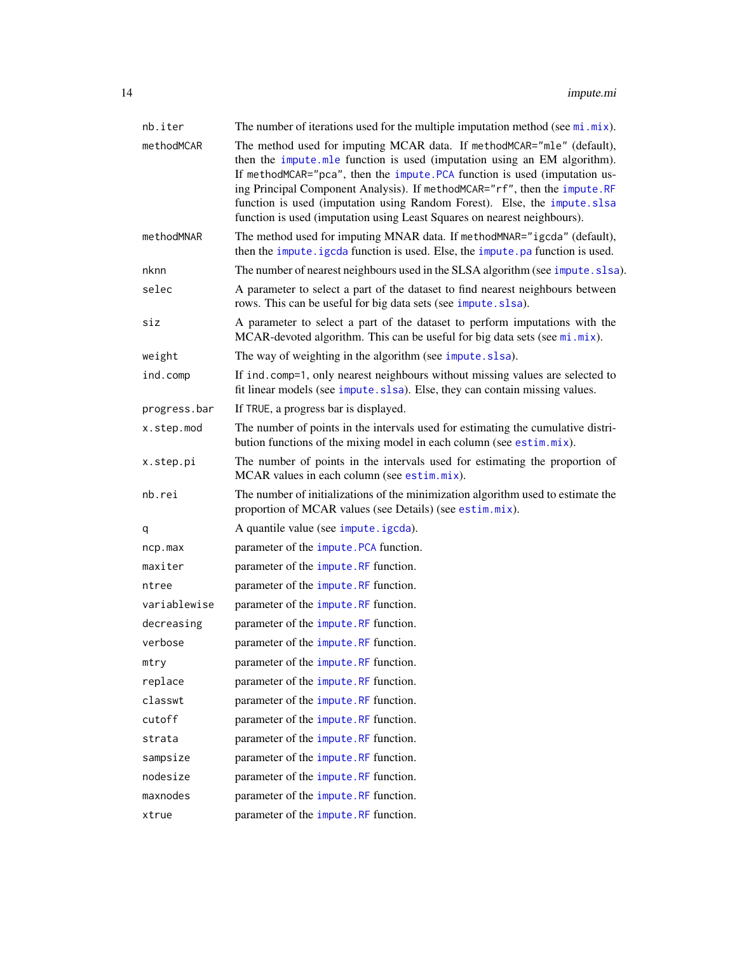<span id="page-13-0"></span>

| nb.iter      | The number of iterations used for the multiple imputation method (see $mi$ . $mix$ ).                                                                                                                                                                                                                                                                                                                                                                                |
|--------------|----------------------------------------------------------------------------------------------------------------------------------------------------------------------------------------------------------------------------------------------------------------------------------------------------------------------------------------------------------------------------------------------------------------------------------------------------------------------|
| methodMCAR   | The method used for imputing MCAR data. If methodMCAR="mle" (default),<br>then the impute.mle function is used (imputation using an EM algorithm).<br>If methodMCAR="pca", then the impute.PCA function is used (imputation us-<br>ing Principal Component Analysis). If methodMCAR="rf", then the impute.RF<br>function is used (imputation using Random Forest). Else, the impute slsa<br>function is used (imputation using Least Squares on nearest neighbours). |
| methodMNAR   | The method used for imputing MNAR data. If methodMNAR="igcda" (default),<br>then the impute. igcda function is used. Else, the impute. pa function is used.                                                                                                                                                                                                                                                                                                          |
| nknn         | The number of nearest neighbours used in the SLSA algorithm (see impute. slsa).                                                                                                                                                                                                                                                                                                                                                                                      |
| selec        | A parameter to select a part of the dataset to find nearest neighbours between<br>rows. This can be useful for big data sets (see impute.slsa).                                                                                                                                                                                                                                                                                                                      |
| siz          | A parameter to select a part of the dataset to perform imputations with the<br>MCAR-devoted algorithm. This can be useful for big data sets (see $mi$ . $mix$ ).                                                                                                                                                                                                                                                                                                     |
| weight       | The way of weighting in the algorithm (see impute.slsa).                                                                                                                                                                                                                                                                                                                                                                                                             |
| ind.comp     | If ind. comp=1, only nearest neighbours without missing values are selected to<br>fit linear models (see impute.slsa). Else, they can contain missing values.                                                                                                                                                                                                                                                                                                        |
| progress.bar | If TRUE, a progress bar is displayed.                                                                                                                                                                                                                                                                                                                                                                                                                                |
| x.step.mod   | The number of points in the intervals used for estimating the cumulative distri-<br>bution functions of the mixing model in each column (see estim.mix).                                                                                                                                                                                                                                                                                                             |
| x.step.pi    | The number of points in the intervals used for estimating the proportion of<br>MCAR values in each column (see estim.mix).                                                                                                                                                                                                                                                                                                                                           |
| nb.rei       | The number of initializations of the minimization algorithm used to estimate the<br>proportion of MCAR values (see Details) (see estim.mix).                                                                                                                                                                                                                                                                                                                         |
| q            | A quantile value (see impute.igcda).                                                                                                                                                                                                                                                                                                                                                                                                                                 |
| ncp.max      | parameter of the impute. PCA function.                                                                                                                                                                                                                                                                                                                                                                                                                               |
| maxiter      | parameter of the impute. RF function.                                                                                                                                                                                                                                                                                                                                                                                                                                |
| ntree        | parameter of the impute. RF function.                                                                                                                                                                                                                                                                                                                                                                                                                                |
| variablewise | parameter of the impute. RF function.                                                                                                                                                                                                                                                                                                                                                                                                                                |
| decreasing   | parameter of the <i>impute</i> . RF function.                                                                                                                                                                                                                                                                                                                                                                                                                        |
| verbose      | parameter of the impute.RF function.                                                                                                                                                                                                                                                                                                                                                                                                                                 |
| mtry         | parameter of the impute.RF function.                                                                                                                                                                                                                                                                                                                                                                                                                                 |
| replace      | parameter of the impute. RF function.                                                                                                                                                                                                                                                                                                                                                                                                                                |
| classwt      | parameter of the impute.RF function.                                                                                                                                                                                                                                                                                                                                                                                                                                 |
| cutoff       | parameter of the impute. RF function.                                                                                                                                                                                                                                                                                                                                                                                                                                |
| strata       | parameter of the impute. RF function.                                                                                                                                                                                                                                                                                                                                                                                                                                |
| sampsize     | parameter of the impute.RF function.                                                                                                                                                                                                                                                                                                                                                                                                                                 |
| nodesize     | parameter of the impute. RF function.                                                                                                                                                                                                                                                                                                                                                                                                                                |
| maxnodes     | parameter of the impute.RF function.                                                                                                                                                                                                                                                                                                                                                                                                                                 |
| xtrue        | parameter of the impute.RF function.                                                                                                                                                                                                                                                                                                                                                                                                                                 |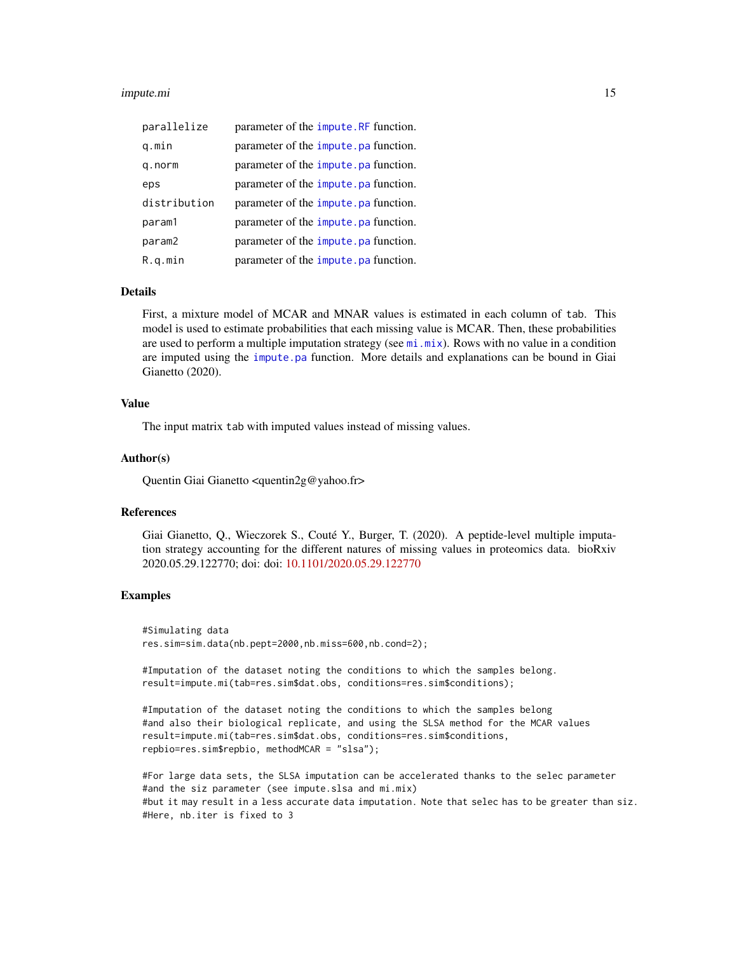#### <span id="page-14-0"></span>impute.mi 15

| parallelize  | parameter of the <i>impute</i> . RF function. |
|--------------|-----------------------------------------------|
| q.min        | parameter of the impute pa function.          |
| q.norm       | parameter of the <i>impute</i> .pa function.  |
| eps          | parameter of the <i>impute</i> .pa function.  |
| distribution | parameter of the <i>impute</i> . pa function. |
| param1       | parameter of the impute pa function.          |
| param2       | parameter of the impute pa function.          |
| R.q.min      | parameter of the <i>impute</i> . pa function. |

## Details

First, a mixture model of MCAR and MNAR values is estimated in each column of tab. This model is used to estimate probabilities that each missing value is MCAR. Then, these probabilities are used to perform a multiple imputation strategy (see [mi.mix](#page-25-1)). Rows with no value in a condition are imputed using the [impute.pa](#page-18-1) function. More details and explanations can be bound in Giai Gianetto (2020).

## Value

The input matrix tab with imputed values instead of missing values.

#### Author(s)

Quentin Giai Gianetto <quentin2g@yahoo.fr>

#### References

Giai Gianetto, Q., Wieczorek S., Couté Y., Burger, T. (2020). A peptide-level multiple imputation strategy accounting for the different natures of missing values in proteomics data. bioRxiv 2020.05.29.122770; doi: doi: [10.1101/2020.05.29.122770](https://doi.org/10.1101/2020.05.29.122770)

## Examples

#Simulating data res.sim=sim.data(nb.pept=2000,nb.miss=600,nb.cond=2);

#Imputation of the dataset noting the conditions to which the samples belong. result=impute.mi(tab=res.sim\$dat.obs, conditions=res.sim\$conditions);

```
#Imputation of the dataset noting the conditions to which the samples belong
#and also their biological replicate, and using the SLSA method for the MCAR values
result=impute.mi(tab=res.sim$dat.obs, conditions=res.sim$conditions,
repbio=res.sim$repbio, methodMCAR = "slsa");
```
#For large data sets, the SLSA imputation can be accelerated thanks to the selec parameter #and the siz parameter (see impute.slsa and mi.mix) #but it may result in a less accurate data imputation. Note that selec has to be greater than siz. #Here, nb.iter is fixed to 3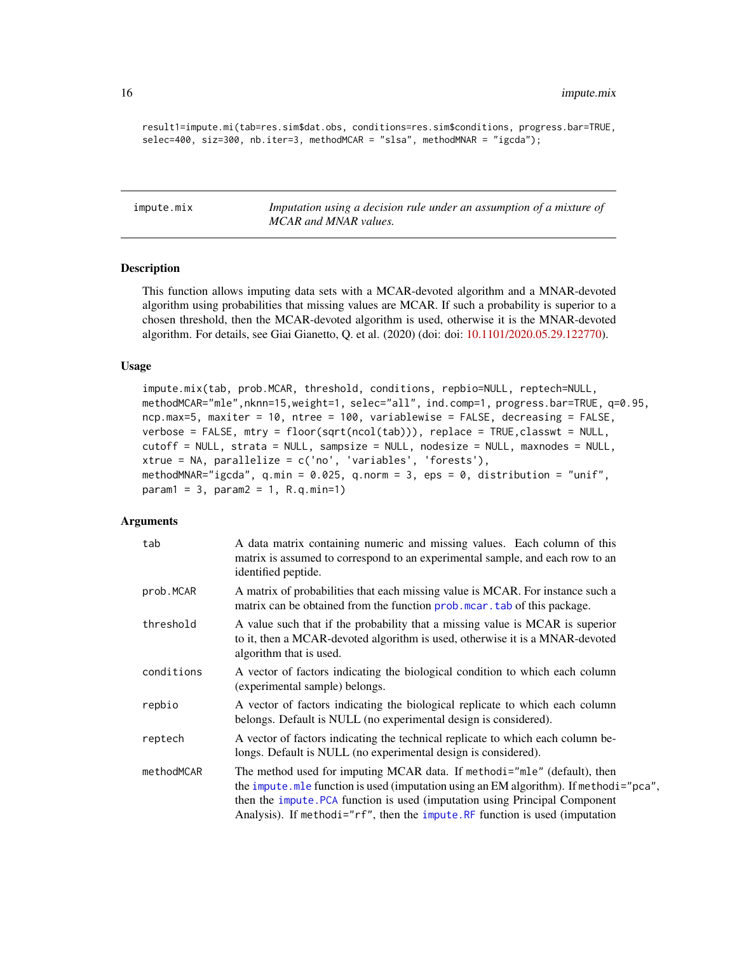result1=impute.mi(tab=res.sim\$dat.obs, conditions=res.sim\$conditions, progress.bar=TRUE, selec=400, siz=300, nb.iter=3, methodMCAR = "slsa", methodMNAR = "igcda");

<span id="page-15-1"></span>impute.mix *Imputation using a decision rule under an assumption of a mixture of MCAR and MNAR values.*

#### Description

This function allows imputing data sets with a MCAR-devoted algorithm and a MNAR-devoted algorithm using probabilities that missing values are MCAR. If such a probability is superior to a chosen threshold, then the MCAR-devoted algorithm is used, otherwise it is the MNAR-devoted algorithm. For details, see Giai Gianetto, Q. et al. (2020) (doi: doi: [10.1101/2020.05.29.122770\)](https://doi.org/10.1101/2020.05.29.122770).

## Usage

```
impute.mix(tab, prob.MCAR, threshold, conditions, repbio=NULL, reptech=NULL,
methodMCAR="mle",nknn=15,weight=1, selec="all", ind.comp=1, progress.bar=TRUE, q=0.95,
ncp.max=5, maxiter = 10, ntree = 100, variablewise = FALSE, decreasing = FALSE,
verbose = FALSE, mtry = floor(sqrt(ncol(tab))), replace = TRUE,classwt = NULL,
cutoff = NULL, strata = NULL, sampsize = NULL, nodesize = NULL, maxnodes = NULL,
xtrue = NA, parallelize = c('no', 'variables', 'forests'),
methodMNAR="igcda", q.min = 0.025, q.norm = 3, eps = 0, distribution = "unif",
param1 = 3, param2 = 1, R.q.min=1)
```
## Arguments

| tab        | A data matrix containing numeric and missing values. Each column of this<br>matrix is assumed to correspond to an experimental sample, and each row to an<br>identified peptide.                                                                                                                                                  |
|------------|-----------------------------------------------------------------------------------------------------------------------------------------------------------------------------------------------------------------------------------------------------------------------------------------------------------------------------------|
| prob.MCAR  | A matrix of probabilities that each missing value is MCAR. For instance such a<br>matrix can be obtained from the function prob. mear. tab of this package.                                                                                                                                                                       |
| threshold  | A value such that if the probability that a missing value is MCAR is superior<br>to it, then a MCAR-devoted algorithm is used, otherwise it is a MNAR-devoted<br>algorithm that is used.                                                                                                                                          |
| conditions | A vector of factors indicating the biological condition to which each column<br>(experimental sample) belongs.                                                                                                                                                                                                                    |
| repbio     | A vector of factors indicating the biological replicate to which each column<br>belongs. Default is NULL (no experimental design is considered).                                                                                                                                                                                  |
| reptech    | A vector of factors indicating the technical replicate to which each column be-<br>longs. Default is NULL (no experimental design is considered).                                                                                                                                                                                 |
| methodMCAR | The method used for imputing MCAR data. If methodi="mle" (default), then<br>the impute . mle function is used (imputation using an EM algorithm). If methodi="pca",<br>then the impute. PCA function is used (imputation using Principal Component<br>Analysis). If methodi="rf", then the impute.RF function is used (imputation |

<span id="page-15-0"></span>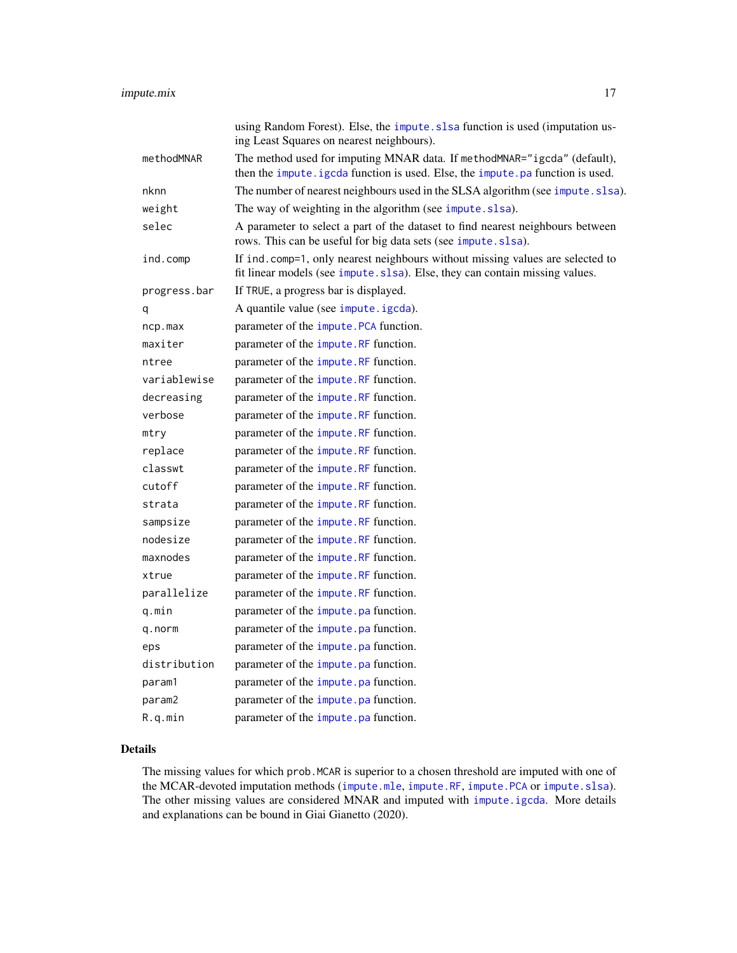<span id="page-16-0"></span>

| using Random Forest). Else, the impute. slsa function is used (imputation us-<br>ing Least Squares on nearest neighbours).                                    |
|---------------------------------------------------------------------------------------------------------------------------------------------------------------|
| The method used for imputing MNAR data. If methodMNAR="igcda" (default),<br>then the impute. igcda function is used. Else, the impute. pa function is used.   |
| The number of nearest neighbours used in the SLSA algorithm (see impute.slsa).                                                                                |
| The way of weighting in the algorithm (see impute.slsa).                                                                                                      |
| A parameter to select a part of the dataset to find nearest neighbours between<br>rows. This can be useful for big data sets (see impute.slsa).               |
| If ind. comp=1, only nearest neighbours without missing values are selected to<br>fit linear models (see impute.slsa). Else, they can contain missing values. |
| If TRUE, a progress bar is displayed.                                                                                                                         |
| A quantile value (see impute.igcda).                                                                                                                          |
| parameter of the impute. PCA function.                                                                                                                        |
| parameter of the impute.RF function.                                                                                                                          |
| parameter of the impute. RF function.                                                                                                                         |
| parameter of the impute.RF function.                                                                                                                          |
| parameter of the <i>impute</i> . RF function.                                                                                                                 |
| parameter of the impute. RF function.                                                                                                                         |
| parameter of the impute.RF function.                                                                                                                          |
| parameter of the impute.RF function.                                                                                                                          |
| parameter of the <i>impute</i> . RF function.                                                                                                                 |
| parameter of the impute.RF function.                                                                                                                          |
| parameter of the <i>impute</i> . RF function.                                                                                                                 |
| parameter of the impute. RF function.                                                                                                                         |
| parameter of the impute.RF function.                                                                                                                          |
| parameter of the <i>impute</i> . RF function.                                                                                                                 |
| parameter of the impute. RF function.                                                                                                                         |
| parameter of the impute.RF function.                                                                                                                          |
| parameter of the <i>impute</i> . pa function.                                                                                                                 |
| parameter of the <i>impute</i> . pa function.                                                                                                                 |
| parameter of the <i>impute</i> . pa function.                                                                                                                 |
| parameter of the <i>impute</i> . pa function.                                                                                                                 |
| parameter of the <i>impute</i> . pa function.                                                                                                                 |
| parameter of the <i>impute</i> . pa function.                                                                                                                 |
| parameter of the <i>impute</i> . pa function.                                                                                                                 |
|                                                                                                                                                               |

## Details

The missing values for which prob.MCAR is superior to a chosen threshold are imputed with one of the MCAR-devoted imputation methods ([impute.mle](#page-17-1), [impute.RF](#page-22-1), [impute.PCA](#page-20-1) or [impute.slsa](#page-23-1)). The other missing values are considered MNAR and imputed with [impute.igcda](#page-11-1). More details and explanations can be bound in Giai Gianetto (2020).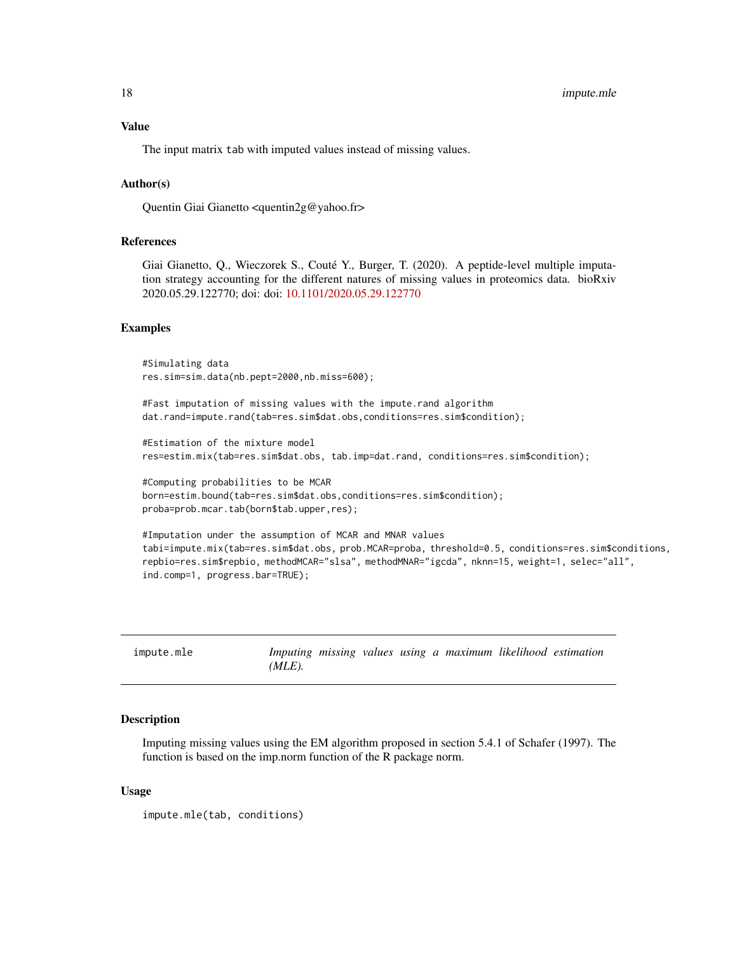<span id="page-17-0"></span>

The input matrix tab with imputed values instead of missing values.

## Author(s)

Quentin Giai Gianetto <quentin2g@yahoo.fr>

#### References

Giai Gianetto, Q., Wieczorek S., Couté Y., Burger, T. (2020). A peptide-level multiple imputation strategy accounting for the different natures of missing values in proteomics data. bioRxiv 2020.05.29.122770; doi: doi: [10.1101/2020.05.29.122770](https://doi.org/10.1101/2020.05.29.122770)

#### Examples

```
#Simulating data
res.sim=sim.data(nb.pept=2000,nb.miss=600);
#Fast imputation of missing values with the impute.rand algorithm
dat.rand=impute.rand(tab=res.sim$dat.obs,conditions=res.sim$condition);
#Estimation of the mixture model
res=estim.mix(tab=res.sim$dat.obs, tab.imp=dat.rand, conditions=res.sim$condition);
#Computing probabilities to be MCAR
born=estim.bound(tab=res.sim$dat.obs,conditions=res.sim$condition);
proba=prob.mcar.tab(born$tab.upper,res);
#Imputation under the assumption of MCAR and MNAR values
tabi=impute.mix(tab=res.sim$dat.obs, prob.MCAR=proba, threshold=0.5, conditions=res.sim$conditions,
repbio=res.sim$repbio, methodMCAR="slsa", methodMNAR="igcda", nknn=15, weight=1, selec="all",
ind.comp=1, progress.bar=TRUE);
```
<span id="page-17-1"></span>

| impute.mle |           |  |  | Imputing missing values using a maximum likelihood estimation |  |
|------------|-----------|--|--|---------------------------------------------------------------|--|
|            | $(MLE)$ . |  |  |                                                               |  |

#### Description

Imputing missing values using the EM algorithm proposed in section 5.4.1 of Schafer (1997). The function is based on the imp.norm function of the R package norm.

#### Usage

impute.mle(tab, conditions)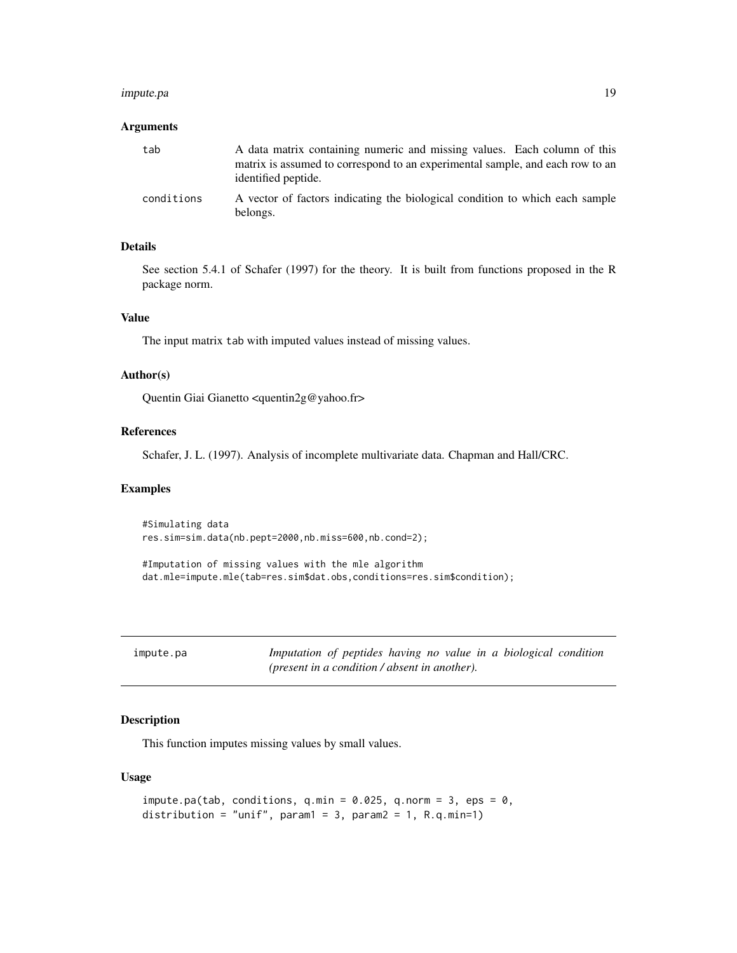#### <span id="page-18-0"></span>impute.pa 19

#### Arguments

| tab        | A data matrix containing numeric and missing values. Each column of this                             |
|------------|------------------------------------------------------------------------------------------------------|
|            | matrix is assumed to correspond to an experimental sample, and each row to an<br>identified peptide. |
| conditions | A vector of factors indicating the biological condition to which each sample<br>belongs.             |

## Details

See section 5.4.1 of Schafer (1997) for the theory. It is built from functions proposed in the R package norm.

## Value

The input matrix tab with imputed values instead of missing values.

#### Author(s)

Quentin Giai Gianetto <quentin2g@yahoo.fr>

#### References

Schafer, J. L. (1997). Analysis of incomplete multivariate data. Chapman and Hall/CRC.

#### Examples

#Simulating data res.sim=sim.data(nb.pept=2000,nb.miss=600,nb.cond=2);

```
#Imputation of missing values with the mle algorithm
dat.mle=impute.mle(tab=res.sim$dat.obs,conditions=res.sim$condition);
```
<span id="page-18-1"></span>

| ımpute.pa |  |
|-----------|--|
|-----------|--|

Imputation of peptides having no value in a biological condition *(present in a condition / absent in another).*

## Description

This function imputes missing values by small values.

#### Usage

```
impute.pa(tab, conditions, q.min = 0.025, q.norm = 3, eps = 0,
distribution = "unif", param1 = 3, param2 = 1, R.q.min=1)
```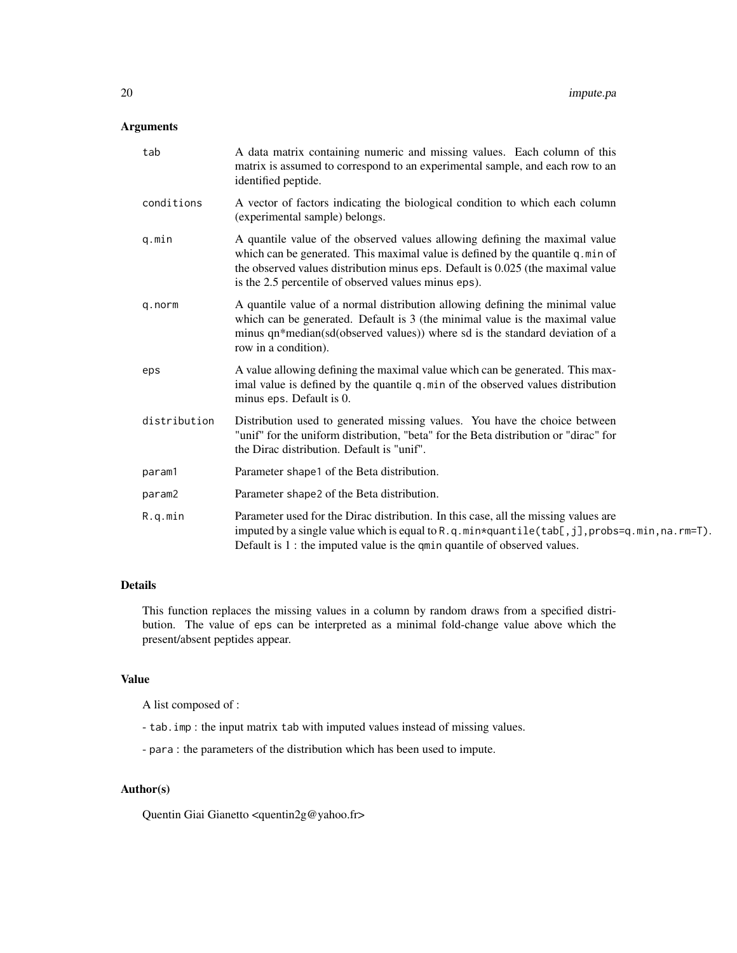## Arguments

| tab          | A data matrix containing numeric and missing values. Each column of this<br>matrix is assumed to correspond to an experimental sample, and each row to an<br>identified peptide.                                                                                                                         |
|--------------|----------------------------------------------------------------------------------------------------------------------------------------------------------------------------------------------------------------------------------------------------------------------------------------------------------|
| conditions   | A vector of factors indicating the biological condition to which each column<br>(experimental sample) belongs.                                                                                                                                                                                           |
| q.min        | A quantile value of the observed values allowing defining the maximal value<br>which can be generated. This maximal value is defined by the quantile q.min of<br>the observed values distribution minus eps. Default is 0.025 (the maximal value<br>is the 2.5 percentile of observed values minus eps). |
| q.norm       | A quantile value of a normal distribution allowing defining the minimal value<br>which can be generated. Default is 3 (the minimal value is the maximal value<br>minus qn*median(sd(observed values)) where sd is the standard deviation of a<br>row in a condition).                                    |
| eps          | A value allowing defining the maximal value which can be generated. This max-<br>imal value is defined by the quantile q.min of the observed values distribution<br>minus eps. Default is 0.                                                                                                             |
| distribution | Distribution used to generated missing values. You have the choice between<br>"unif" for the uniform distribution, "beta" for the Beta distribution or "dirac" for<br>the Dirac distribution. Default is "unif".                                                                                         |
| param1       | Parameter shape1 of the Beta distribution.                                                                                                                                                                                                                                                               |
| param2       | Parameter shape2 of the Beta distribution.                                                                                                                                                                                                                                                               |
| R.q.min      | Parameter used for the Dirac distribution. In this case, all the missing values are<br>imputed by a single value which is equal to R.q.min*quantile(tab[,j], probs=q.min, na.rm=T).<br>Default is $1$ : the imputed value is the qmin quantile of observed values.                                       |

## Details

This function replaces the missing values in a column by random draws from a specified distribution. The value of eps can be interpreted as a minimal fold-change value above which the present/absent peptides appear.

## Value

A list composed of :

- tab.imp : the input matrix tab with imputed values instead of missing values.
- para : the parameters of the distribution which has been used to impute.

## Author(s)

Quentin Giai Gianetto <quentin2g@yahoo.fr>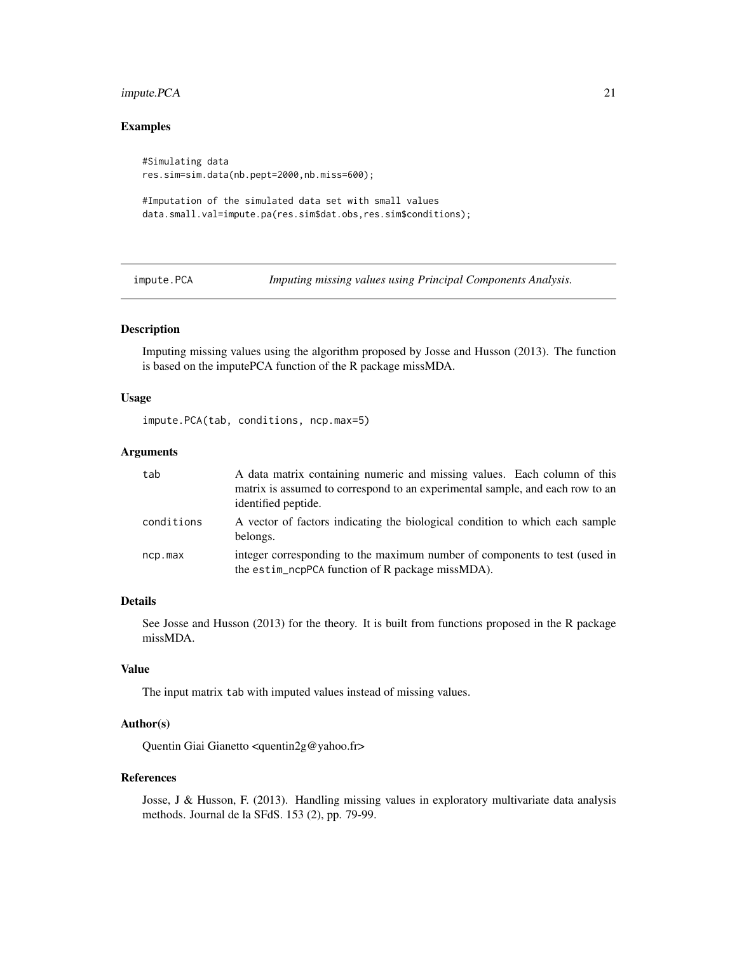## <span id="page-20-0"></span>impute.PCA 21

#### Examples

#Simulating data res.sim=sim.data(nb.pept=2000,nb.miss=600);

```
#Imputation of the simulated data set with small values
data.small.val=impute.pa(res.sim$dat.obs,res.sim$conditions);
```
<span id="page-20-1"></span>impute.PCA *Imputing missing values using Principal Components Analysis.*

## Description

Imputing missing values using the algorithm proposed by Josse and Husson (2013). The function is based on the imputePCA function of the R package missMDA.

#### Usage

impute.PCA(tab, conditions, ncp.max=5)

#### Arguments

| tab        | A data matrix containing numeric and missing values. Each column of this<br>matrix is assumed to correspond to an experimental sample, and each row to an<br>identified peptide. |
|------------|----------------------------------------------------------------------------------------------------------------------------------------------------------------------------------|
| conditions | A vector of factors indicating the biological condition to which each sample<br>belongs.                                                                                         |
| ncp.max    | integer corresponding to the maximum number of components to test (used in<br>the estim_ncpPCA function of R package missMDA).                                                   |

#### Details

See Josse and Husson (2013) for the theory. It is built from functions proposed in the R package missMDA.

## Value

The input matrix tab with imputed values instead of missing values.

#### Author(s)

Quentin Giai Gianetto <quentin2g@yahoo.fr>

#### References

Josse, J & Husson, F. (2013). Handling missing values in exploratory multivariate data analysis methods. Journal de la SFdS. 153 (2), pp. 79-99.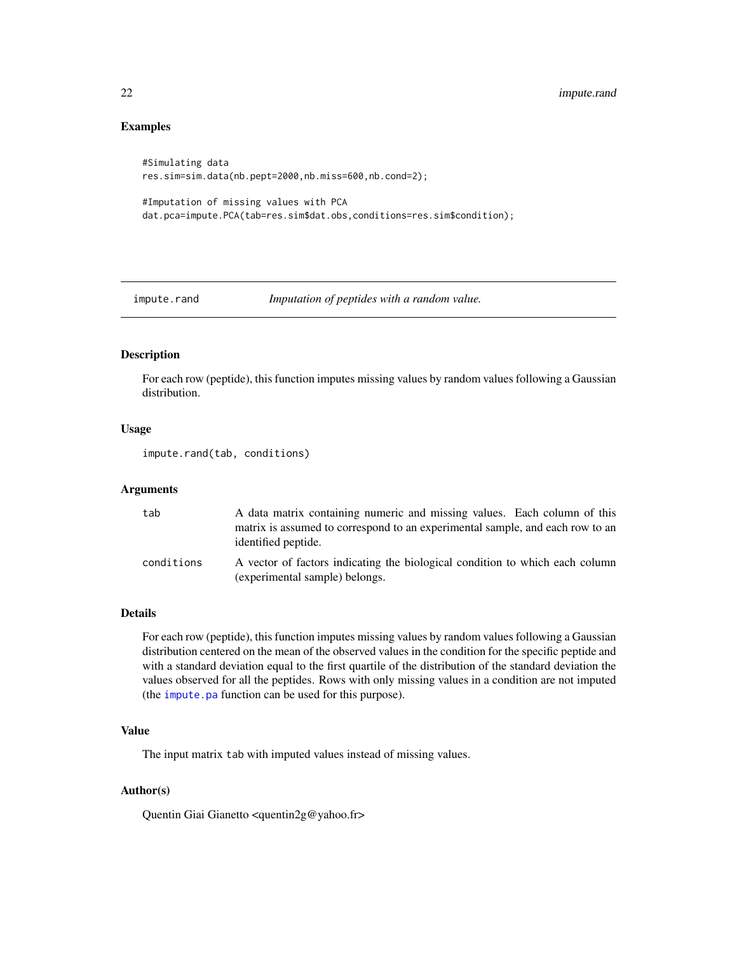## Examples

```
#Simulating data
res.sim=sim.data(nb.pept=2000,nb.miss=600,nb.cond=2);
```

```
#Imputation of missing values with PCA
dat.pca=impute.PCA(tab=res.sim$dat.obs,conditions=res.sim$condition);
```
impute.rand *Imputation of peptides with a random value.*

## Description

For each row (peptide), this function imputes missing values by random values following a Gaussian distribution.

## Usage

impute.rand(tab, conditions)

#### Arguments

| tab        | A data matrix containing numeric and missing values. Each column of this                                       |
|------------|----------------------------------------------------------------------------------------------------------------|
|            | matrix is assumed to correspond to an experimental sample, and each row to an<br>identified peptide.           |
| conditions | A vector of factors indicating the biological condition to which each column<br>(experimental sample) belongs. |

#### Details

For each row (peptide), this function imputes missing values by random values following a Gaussian distribution centered on the mean of the observed values in the condition for the specific peptide and with a standard deviation equal to the first quartile of the distribution of the standard deviation the values observed for all the peptides. Rows with only missing values in a condition are not imputed (the [impute.pa](#page-18-1) function can be used for this purpose).

#### Value

The input matrix tab with imputed values instead of missing values.

## Author(s)

Quentin Giai Gianetto <quentin2g@yahoo.fr>

<span id="page-21-0"></span>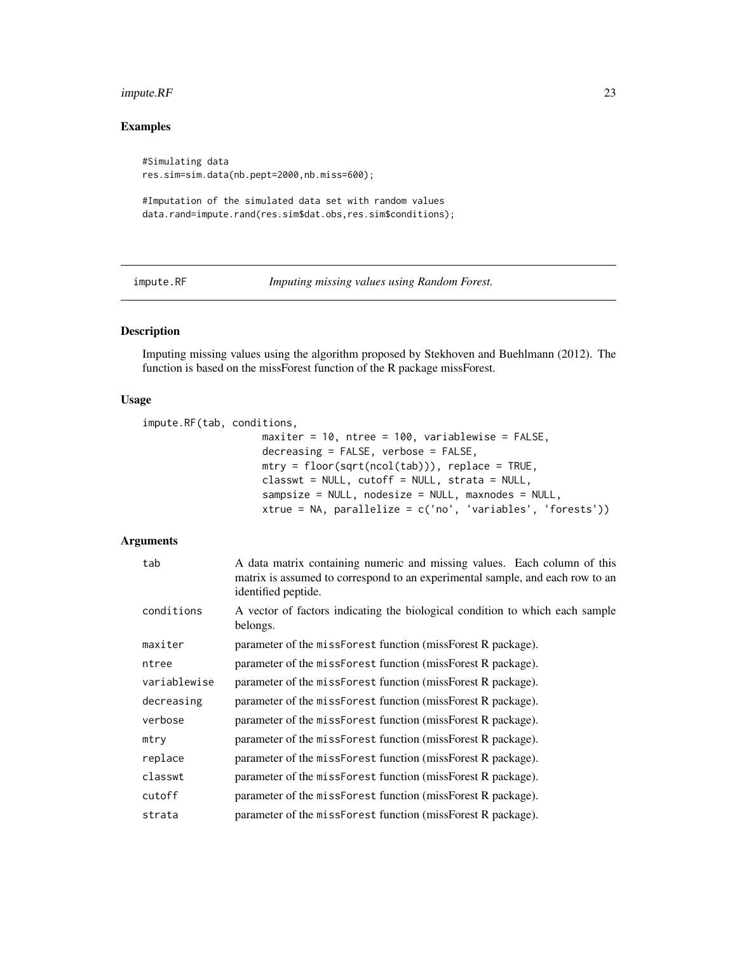#### <span id="page-22-0"></span>impute.RF 23

## Examples

#Simulating data res.sim=sim.data(nb.pept=2000,nb.miss=600);

```
#Imputation of the simulated data set with random values
data.rand=impute.rand(res.sim$dat.obs,res.sim$conditions);
```
<span id="page-22-1"></span>

impute.RF *Imputing missing values using Random Forest.*

## Description

Imputing missing values using the algorithm proposed by Stekhoven and Buehlmann (2012). The function is based on the missForest function of the R package missForest.

#### Usage

```
impute.RF(tab, conditions,
                    maxiter = 10, ntree = 100, variablewise = FALSE,
                    decreasing = FALSE, verbose = FALSE,
                    mtry = floor(sqrt(ncol(tab))), replace = TRUE,
                    classwt = NULL, cutoff = NULL, strata = NULL,
                    sampsize = NULL, nodesize = NULL, maxnodes = NULL,
                    xtrue = NA, parallelize = c('no', 'variables', 'forests'))
```
#### Arguments

| tab          | A data matrix containing numeric and missing values. Each column of this<br>matrix is assumed to correspond to an experimental sample, and each row to an<br>identified peptide. |
|--------------|----------------------------------------------------------------------------------------------------------------------------------------------------------------------------------|
| conditions   | A vector of factors indicating the biological condition to which each sample<br>belongs.                                                                                         |
| maxiter      | parameter of the missForest function (missForest R package).                                                                                                                     |
| ntree        | parameter of the missForest function (missForest R package).                                                                                                                     |
| variablewise | parameter of the missForest function (missForest R package).                                                                                                                     |
| decreasing   | parameter of the missForest function (missForest R package).                                                                                                                     |
| verbose      | parameter of the missForest function (missForest R package).                                                                                                                     |
| mtry         | parameter of the missForest function (missForest R package).                                                                                                                     |
| replace      | parameter of the missForest function (missForest R package).                                                                                                                     |
| classwt      | parameter of the missForest function (missForest R package).                                                                                                                     |
| cutoff       | parameter of the missForest function (missForest R package).                                                                                                                     |
| strata       | parameter of the missForest function (missForest R package).                                                                                                                     |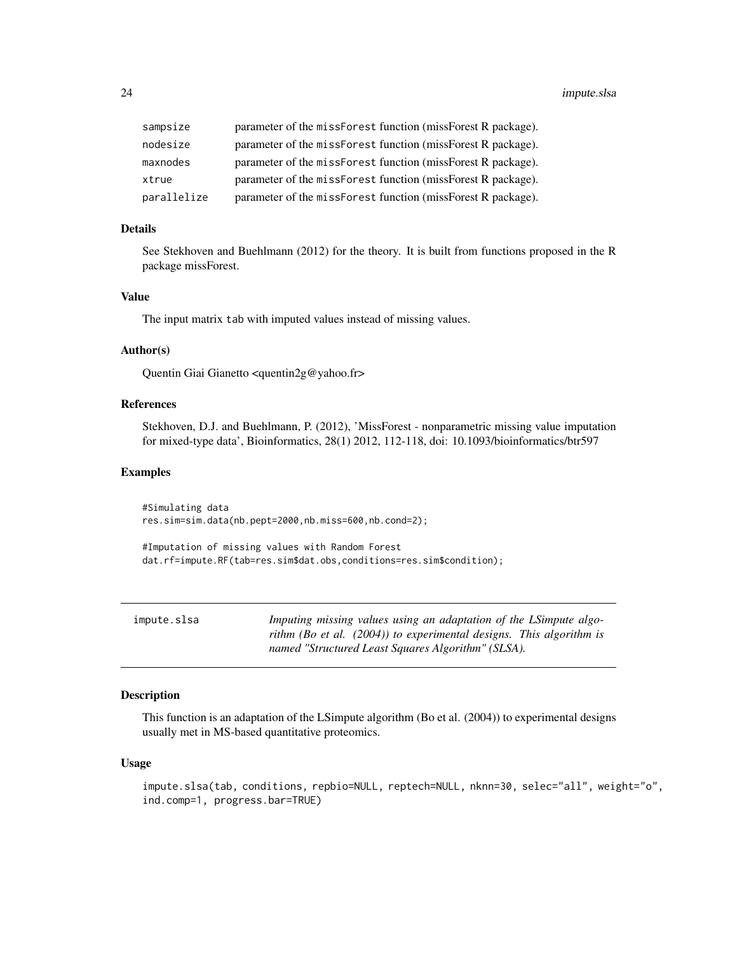<span id="page-23-0"></span>

| sampsize    | parameter of the missForest function (missForest R package).  |
|-------------|---------------------------------------------------------------|
| nodesize    | parameter of the missenerial function (misseneric R package). |
| maxnodes    | parameter of the missForest function (missForest R package).  |
| xtrue       | parameter of the missForest function (missForest R package).  |
| parallelize | parameter of the missForest function (missForest R package).  |

#### Details

See Stekhoven and Buehlmann (2012) for the theory. It is built from functions proposed in the R package missForest.

## Value

The input matrix tab with imputed values instead of missing values.

## Author(s)

Quentin Giai Gianetto <quentin2g@yahoo.fr>

## References

Stekhoven, D.J. and Buehlmann, P. (2012), 'MissForest - nonparametric missing value imputation for mixed-type data', Bioinformatics, 28(1) 2012, 112-118, doi: 10.1093/bioinformatics/btr597

#### Examples

#Simulating data res.sim=sim.data(nb.pept=2000,nb.miss=600,nb.cond=2);

```
#Imputation of missing values with Random Forest
dat.rf=impute.RF(tab=res.sim$dat.obs,conditions=res.sim$condition);
```
<span id="page-23-1"></span>

| impute.slsa | Imputing missing values using an adaptation of the LSimpute algo-      |
|-------------|------------------------------------------------------------------------|
|             | rithm (Bo et al. $(2004)$ ) to experimental designs. This algorithm is |
|             | named "Structured Least Squares Algorithm" (SLSA).                     |

## Description

This function is an adaptation of the LSimpute algorithm (Bo et al. (2004)) to experimental designs usually met in MS-based quantitative proteomics.

#### Usage

```
impute.slsa(tab, conditions, repbio=NULL, reptech=NULL, nknn=30, selec="all", weight="o",
ind.comp=1, progress.bar=TRUE)
```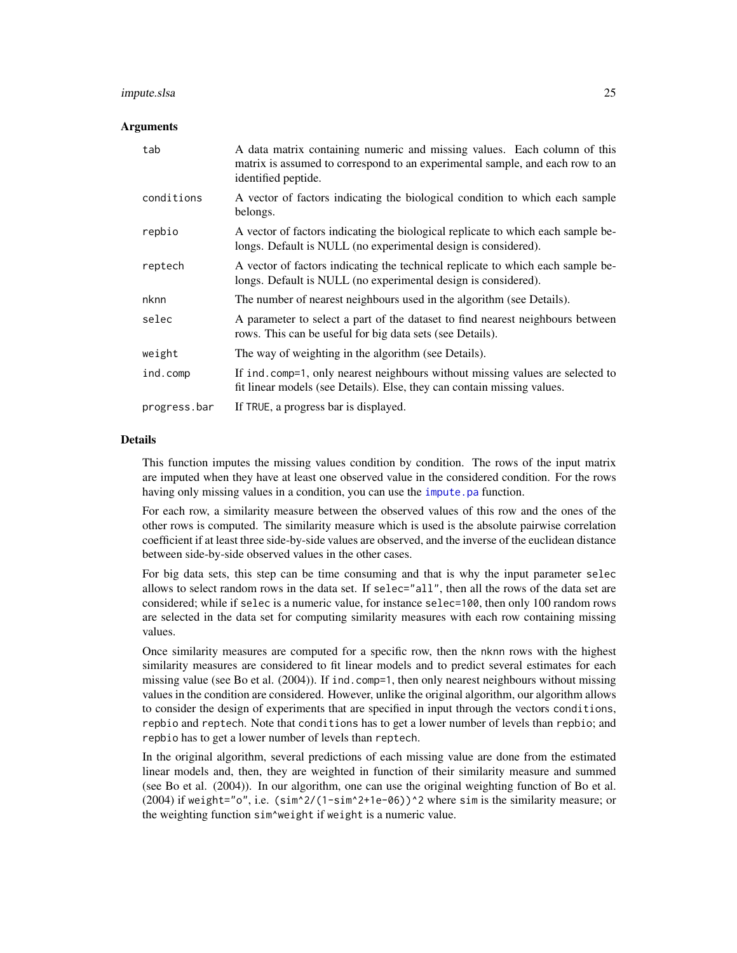#### <span id="page-24-0"></span>impute.slsa 25

#### Arguments

| tab          | A data matrix containing numeric and missing values. Each column of this<br>matrix is assumed to correspond to an experimental sample, and each row to an<br>identified peptide. |
|--------------|----------------------------------------------------------------------------------------------------------------------------------------------------------------------------------|
| conditions   | A vector of factors indicating the biological condition to which each sample<br>belongs.                                                                                         |
| repbio       | A vector of factors indicating the biological replicate to which each sample be-<br>longs. Default is NULL (no experimental design is considered).                               |
| reptech      | A vector of factors indicating the technical replicate to which each sample be-<br>longs. Default is NULL (no experimental design is considered).                                |
| nknn         | The number of nearest neighbours used in the algorithm (see Details).                                                                                                            |
| selec        | A parameter to select a part of the dataset to find nearest neighbours between<br>rows. This can be useful for big data sets (see Details).                                      |
| weight       | The way of weighting in the algorithm (see Details).                                                                                                                             |
| ind.comp     | If ind. comp=1, only nearest neighbours without missing values are selected to<br>fit linear models (see Details). Else, they can contain missing values.                        |
| progress.bar | If TRUE, a progress bar is displayed.                                                                                                                                            |

## **Details**

This function imputes the missing values condition by condition. The rows of the input matrix are imputed when they have at least one observed value in the considered condition. For the rows having only missing values in a condition, you can use the *impute*.pa function.

For each row, a similarity measure between the observed values of this row and the ones of the other rows is computed. The similarity measure which is used is the absolute pairwise correlation coefficient if at least three side-by-side values are observed, and the inverse of the euclidean distance between side-by-side observed values in the other cases.

For big data sets, this step can be time consuming and that is why the input parameter selec allows to select random rows in the data set. If selec="all", then all the rows of the data set are considered; while if selec is a numeric value, for instance selec=100, then only 100 random rows are selected in the data set for computing similarity measures with each row containing missing values.

Once similarity measures are computed for a specific row, then the nknn rows with the highest similarity measures are considered to fit linear models and to predict several estimates for each missing value (see Bo et al. (2004)). If ind.comp=1, then only nearest neighbours without missing values in the condition are considered. However, unlike the original algorithm, our algorithm allows to consider the design of experiments that are specified in input through the vectors conditions, repbio and reptech. Note that conditions has to get a lower number of levels than repbio; and repbio has to get a lower number of levels than reptech.

In the original algorithm, several predictions of each missing value are done from the estimated linear models and, then, they are weighted in function of their similarity measure and summed (see Bo et al. (2004)). In our algorithm, one can use the original weighting function of Bo et al. (2004) if weight="o", i.e.  $(\sin^{2}/(1-\sin^{2}+1e-\theta_{0}))$  ^2 where sim is the similarity measure; or the weighting function sim^weight if weight is a numeric value.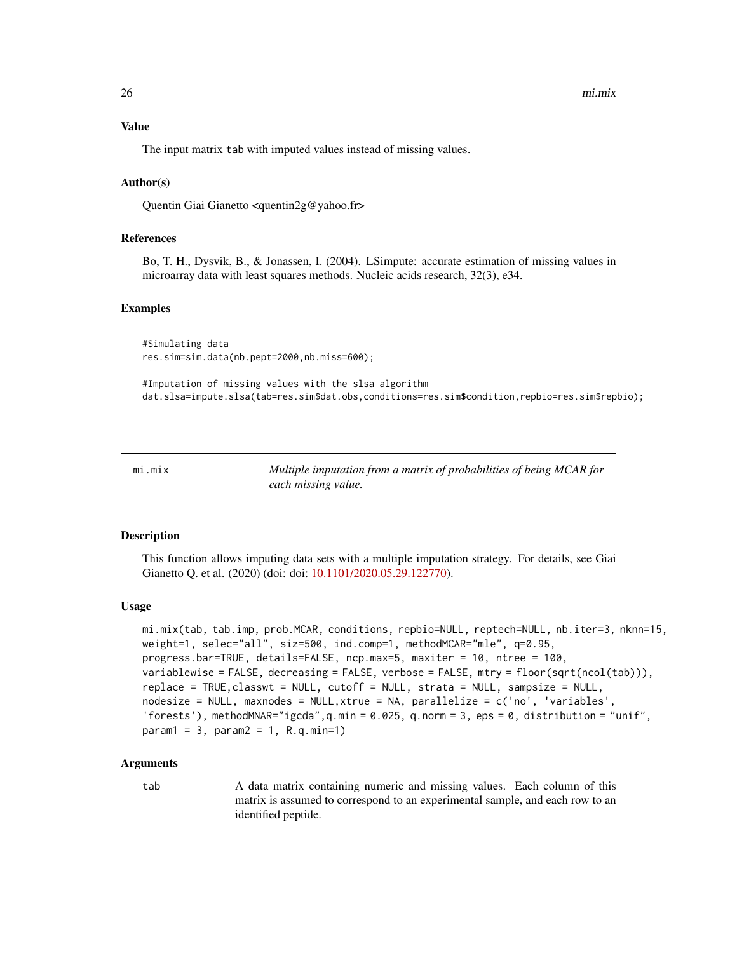#### <span id="page-25-0"></span>Value

The input matrix tab with imputed values instead of missing values.

#### Author(s)

Quentin Giai Gianetto <quentin2g@yahoo.fr>

## References

Bo, T. H., Dysvik, B., & Jonassen, I. (2004). LSimpute: accurate estimation of missing values in microarray data with least squares methods. Nucleic acids research, 32(3), e34.

#### Examples

#Simulating data res.sim=sim.data(nb.pept=2000,nb.miss=600);

#Imputation of missing values with the slsa algorithm dat.slsa=impute.slsa(tab=res.sim\$dat.obs,conditions=res.sim\$condition,repbio=res.sim\$repbio);

<span id="page-25-1"></span>mi.mix *Multiple imputation from a matrix of probabilities of being MCAR for each missing value.*

#### Description

This function allows imputing data sets with a multiple imputation strategy. For details, see Giai Gianetto Q. et al. (2020) (doi: doi: [10.1101/2020.05.29.122770\)](https://doi.org/10.1101/2020.05.29.122770).

#### Usage

```
mi.mix(tab, tab.imp, prob.MCAR, conditions, repbio=NULL, reptech=NULL, nb.iter=3, nknn=15,
weight=1, selec="all", siz=500, ind.comp=1, methodMCAR="mle", q=0.95,
progress.bar=TRUE, details=FALSE, ncp.max=5, maxiter = 10, ntree = 100,
variablewise = FALSE, decreasing = FALSE, verbose = FALSE, mtry = floor(sqrt(ncol(tab))),
replace = TRUE,classwt = NULL, cutoff = NULL, strata = NULL, sampsize = NULL,
nodesize = NULL, maxnodes = NULL,xtrue = NA, parallelize = c('no', 'variables',
'forests'), methodMNAR="igcda", q.min = 0.025, q.norm = 3, eps = 0, distribution = "unif",
param1 = 3, param2 = 1, R.q.min=1)
```
#### Arguments

tab A data matrix containing numeric and missing values. Each column of this matrix is assumed to correspond to an experimental sample, and each row to an identified peptide.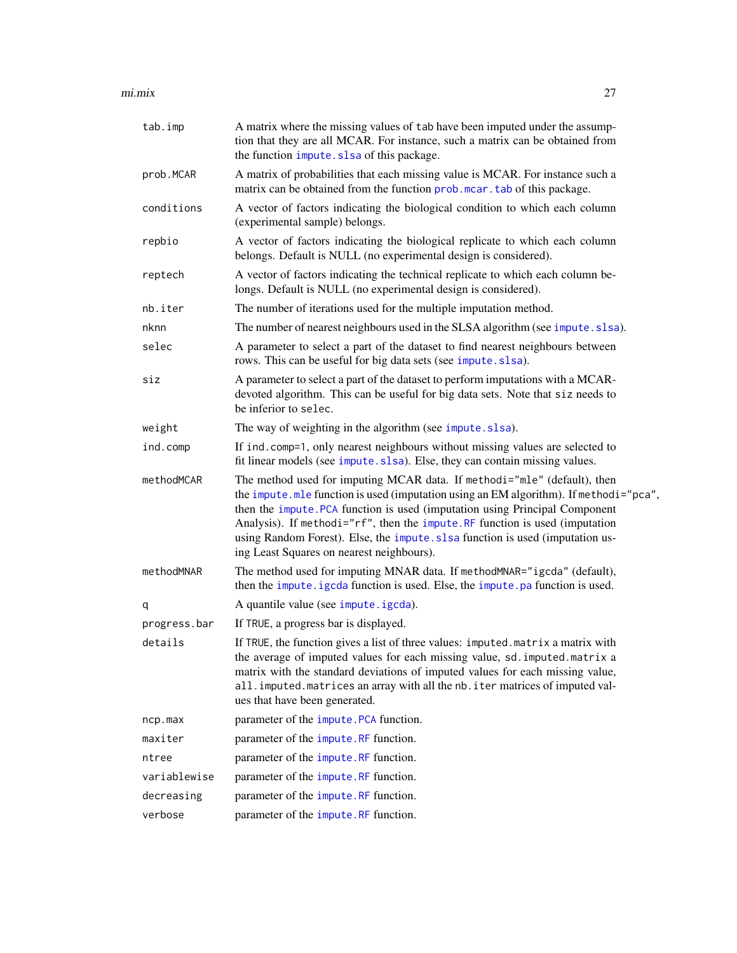#### <span id="page-26-0"></span>mi.mix 27

| tab.imp      | A matrix where the missing values of tab have been imputed under the assump-<br>tion that they are all MCAR. For instance, such a matrix can be obtained from<br>the function impute. slsa of this package.                                                                                                                                                                                                                                                     |
|--------------|-----------------------------------------------------------------------------------------------------------------------------------------------------------------------------------------------------------------------------------------------------------------------------------------------------------------------------------------------------------------------------------------------------------------------------------------------------------------|
| prob.MCAR    | A matrix of probabilities that each missing value is MCAR. For instance such a<br>matrix can be obtained from the function prob. mear. tab of this package.                                                                                                                                                                                                                                                                                                     |
| conditions   | A vector of factors indicating the biological condition to which each column<br>(experimental sample) belongs.                                                                                                                                                                                                                                                                                                                                                  |
| repbio       | A vector of factors indicating the biological replicate to which each column<br>belongs. Default is NULL (no experimental design is considered).                                                                                                                                                                                                                                                                                                                |
| reptech      | A vector of factors indicating the technical replicate to which each column be-<br>longs. Default is NULL (no experimental design is considered).                                                                                                                                                                                                                                                                                                               |
| nb.iter      | The number of iterations used for the multiple imputation method.                                                                                                                                                                                                                                                                                                                                                                                               |
| nknn         | The number of nearest neighbours used in the SLSA algorithm (see impute.slsa).                                                                                                                                                                                                                                                                                                                                                                                  |
| selec        | A parameter to select a part of the dataset to find nearest neighbours between<br>rows. This can be useful for big data sets (see impute.slsa).                                                                                                                                                                                                                                                                                                                 |
| siz          | A parameter to select a part of the dataset to perform imputations with a MCAR-<br>devoted algorithm. This can be useful for big data sets. Note that siz needs to<br>be inferior to selec.                                                                                                                                                                                                                                                                     |
| weight       | The way of weighting in the algorithm (see impute.slsa).                                                                                                                                                                                                                                                                                                                                                                                                        |
| ind.comp     | If ind. comp=1, only nearest neighbours without missing values are selected to<br>fit linear models (see impute.slsa). Else, they can contain missing values.                                                                                                                                                                                                                                                                                                   |
| methodMCAR   | The method used for imputing MCAR data. If methodi="mle" (default), then<br>the impute . mle function is used (imputation using an EM algorithm). If methodi="pca",<br>then the impute. PCA function is used (imputation using Principal Component<br>Analysis). If methodi="rf", then the impute.RF function is used (imputation<br>using Random Forest). Else, the impute. slsa function is used (imputation us-<br>ing Least Squares on nearest neighbours). |
| methodMNAR   | The method used for imputing MNAR data. If methodMNAR="igcda" (default),<br>then the impute. igcda function is used. Else, the impute. pa function is used.                                                                                                                                                                                                                                                                                                     |
| q            | A quantile value (see impute.igcda).                                                                                                                                                                                                                                                                                                                                                                                                                            |
| progress.bar | If TRUE, a progress bar is displayed.                                                                                                                                                                                                                                                                                                                                                                                                                           |
| details      | If TRUE, the function gives a list of three values: imputed.matrix a matrix with<br>the average of imputed values for each missing value, sd. imputed. matrix a<br>matrix with the standard deviations of imputed values for each missing value,<br>all. imputed. matrices an array with all the nb. iter matrices of imputed val-<br>ues that have been generated.                                                                                             |
| ncp.max      | parameter of the impute. PCA function.                                                                                                                                                                                                                                                                                                                                                                                                                          |
| maxiter      | parameter of the <i>impute</i> . RF function.                                                                                                                                                                                                                                                                                                                                                                                                                   |
| ntree        | parameter of the impute. RF function.                                                                                                                                                                                                                                                                                                                                                                                                                           |
| variablewise | parameter of the impute. RF function.                                                                                                                                                                                                                                                                                                                                                                                                                           |
| decreasing   | parameter of the <i>impute</i> . RF function.                                                                                                                                                                                                                                                                                                                                                                                                                   |
| verbose      | parameter of the impute. RF function.                                                                                                                                                                                                                                                                                                                                                                                                                           |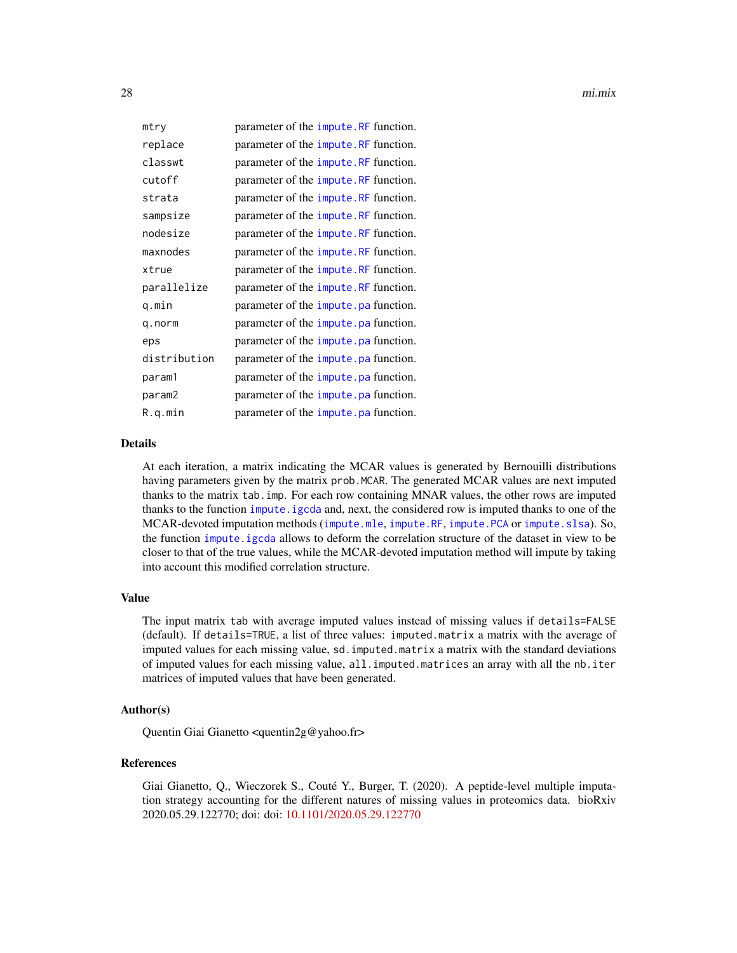<span id="page-27-0"></span>

| mtry         | parameter of the impute. RF function.         |  |
|--------------|-----------------------------------------------|--|
| replace      | parameter of the impute. RF function.         |  |
| classwt      | parameter of the impute. RF function.         |  |
| cutoff       | parameter of the <i>impute</i> . RF function. |  |
| strata       | parameter of the impute. RF function.         |  |
| sampsize     | parameter of the <i>impute</i> . RF function. |  |
| nodesize     | parameter of the impute. RF function.         |  |
| maxnodes     | parameter of the <i>impute</i> . RF function. |  |
| xtrue        | parameter of the impute. RF function.         |  |
| parallelize  | parameter of the <i>impute</i> . RF function. |  |
| q.min        | parameter of the impute, pa function.         |  |
| q.norm       | parameter of the impute, pa function.         |  |
| eps          | parameter of the impute pa function.          |  |
| distribution | parameter of the <i>impute</i> . pa function. |  |
| param1       | parameter of the impute pa function.          |  |
| param2       | parameter of the impute, pa function.         |  |
| R.q.min      | parameter of the impute.pa function.          |  |

## Details

At each iteration, a matrix indicating the MCAR values is generated by Bernouilli distributions having parameters given by the matrix prob. MCAR. The generated MCAR values are next imputed thanks to the matrix tab.imp. For each row containing MNAR values, the other rows are imputed thanks to the function [impute.igcda](#page-11-1) and, next, the considered row is imputed thanks to one of the MCAR-devoted imputation methods ([impute.mle](#page-17-1), [impute.RF](#page-22-1), [impute.PCA](#page-20-1) or [impute.slsa](#page-23-1)). So, the function [impute.igcda](#page-11-1) allows to deform the correlation structure of the dataset in view to be closer to that of the true values, while the MCAR-devoted imputation method will impute by taking into account this modified correlation structure.

## Value

The input matrix tab with average imputed values instead of missing values if details=FALSE (default). If details=TRUE, a list of three values: imputed.matrix a matrix with the average of imputed values for each missing value, sd.imputed.matrix a matrix with the standard deviations of imputed values for each missing value, all.imputed.matrices an array with all the nb.iter matrices of imputed values that have been generated.

#### Author(s)

Quentin Giai Gianetto <quentin2g@yahoo.fr>

## References

Giai Gianetto, Q., Wieczorek S., Couté Y., Burger, T. (2020). A peptide-level multiple imputation strategy accounting for the different natures of missing values in proteomics data. bioRxiv 2020.05.29.122770; doi: doi: [10.1101/2020.05.29.122770](https://doi.org/10.1101/2020.05.29.122770)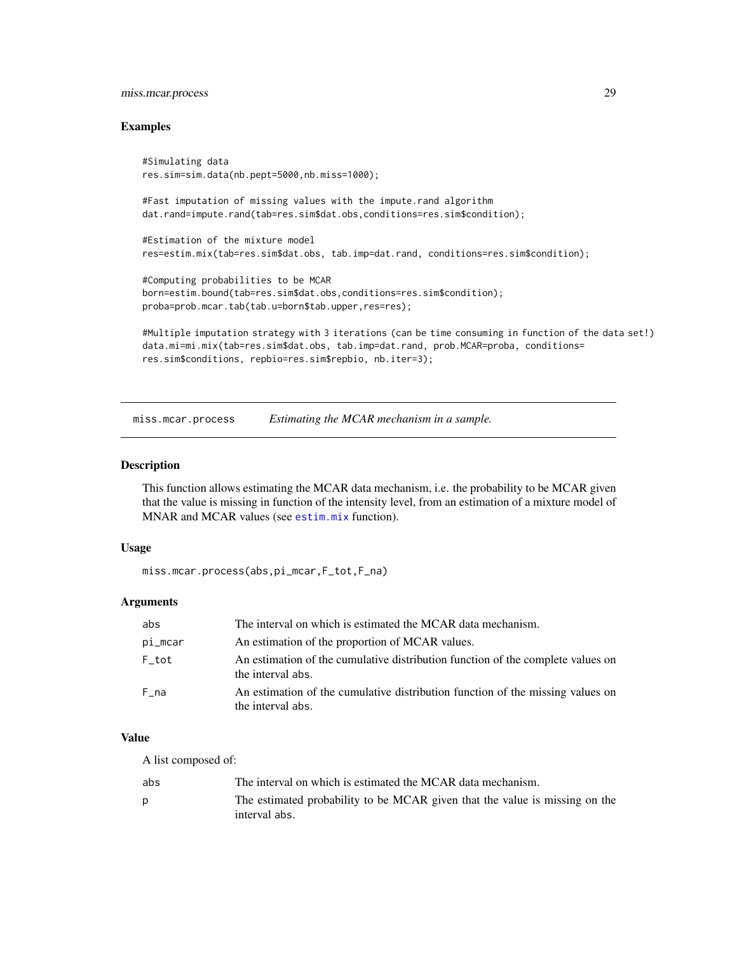## <span id="page-28-0"></span>miss.mcar.process 29

#### Examples

```
#Simulating data
res.sim=sim.data(nb.pept=5000,nb.miss=1000);
#Fast imputation of missing values with the impute.rand algorithm
dat.rand=impute.rand(tab=res.sim$dat.obs,conditions=res.sim$condition);
```
#Estimation of the mixture model res=estim.mix(tab=res.sim\$dat.obs, tab.imp=dat.rand, conditions=res.sim\$condition);

```
#Computing probabilities to be MCAR
born=estim.bound(tab=res.sim$dat.obs,conditions=res.sim$condition);
proba=prob.mcar.tab(tab.u=born$tab.upper,res=res);
```

```
#Multiple imputation strategy with 3 iterations (can be time consuming in function of the data set!)
data.mi=mi.mix(tab=res.sim$dat.obs, tab.imp=dat.rand, prob.MCAR=proba, conditions=
res.sim$conditions, repbio=res.sim$repbio, nb.iter=3);
```
miss.mcar.process *Estimating the MCAR mechanism in a sample.*

#### Description

This function allows estimating the MCAR data mechanism, i.e. the probability to be MCAR given that the value is missing in function of the intensity level, from an estimation of a mixture model of MNAR and MCAR values (see [estim.mix](#page-3-1) function).

#### Usage

```
miss.mcar.process(abs,pi_mcar,F_tot,F_na)
```
## Arguments

| abs      | The interval on which is estimated the MCAR data mechanism.                                          |
|----------|------------------------------------------------------------------------------------------------------|
| pi_mcar  | An estimation of the proportion of MCAR values.                                                      |
| $F\_tot$ | An estimation of the cumulative distribution function of the complete values on<br>the interval abs. |
| F na     | An estimation of the cumulative distribution function of the missing values on<br>the interval abs.  |

## Value

A list composed of:

| abs | The interval on which is estimated the MCAR data mechanism.                                  |
|-----|----------------------------------------------------------------------------------------------|
|     | The estimated probability to be MCAR given that the value is missing on the<br>interval abs. |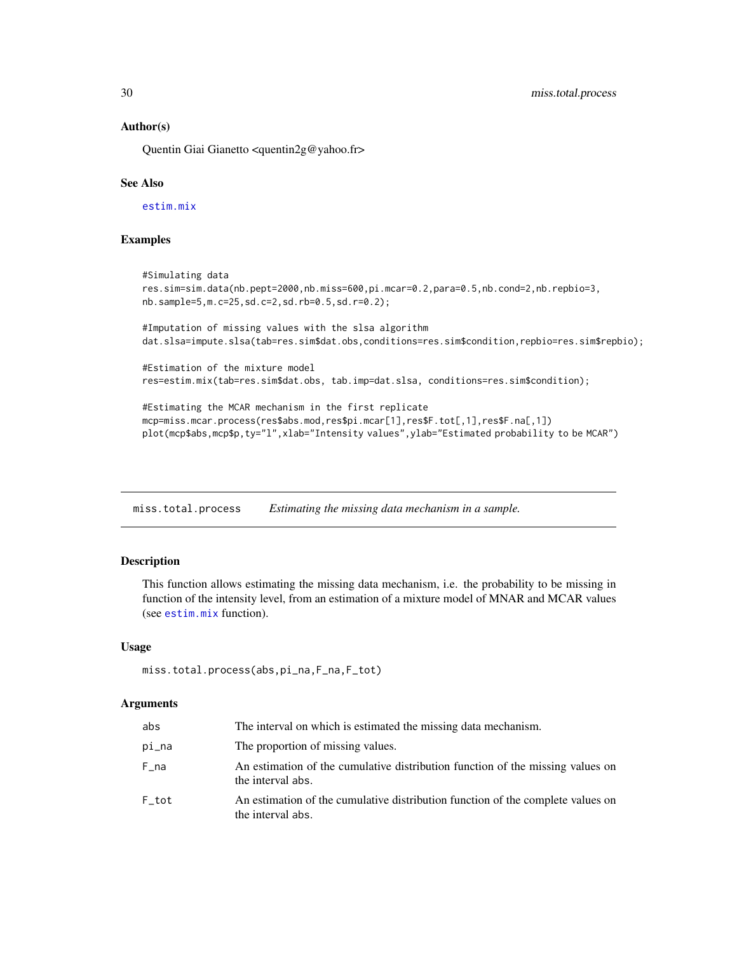#### Author(s)

Quentin Giai Gianetto <quentin2g@yahoo.fr>

## See Also

[estim.mix](#page-3-1)

## Examples

```
#Simulating data
res.sim=sim.data(nb.pept=2000,nb.miss=600,pi.mcar=0.2,para=0.5,nb.cond=2,nb.repbio=3,
nb.sample=5,m.c=25,sd.c=2,sd.rb=0.5,sd.r=0.2);
#Imputation of missing values with the slsa algorithm
dat.slsa=impute.slsa(tab=res.sim$dat.obs,conditions=res.sim$condition,repbio=res.sim$repbio);
#Estimation of the mixture model
res=estim.mix(tab=res.sim$dat.obs, tab.imp=dat.slsa, conditions=res.sim$condition);
#Estimating the MCAR mechanism in the first replicate
mcp=miss.mcar.process(res$abs.mod,res$pi.mcar[1],res$F.tot[,1],res$F.na[,1])
plot(mcp$abs,mcp$p,ty="l",xlab="Intensity values",ylab="Estimated probability to be MCAR")
```
miss.total.process *Estimating the missing data mechanism in a sample.*

## Description

This function allows estimating the missing data mechanism, i.e. the probability to be missing in function of the intensity level, from an estimation of a mixture model of MNAR and MCAR values (see [estim.mix](#page-3-1) function).

#### Usage

```
miss.total.process(abs,pi_na,F_na,F_tot)
```
#### Arguments

| abs   | The interval on which is estimated the missing data mechanism.                                       |
|-------|------------------------------------------------------------------------------------------------------|
| pi_na | The proportion of missing values.                                                                    |
| F na  | An estimation of the cumulative distribution function of the missing values on<br>the interval abs.  |
| F tot | An estimation of the cumulative distribution function of the complete values on<br>the interval abs. |

<span id="page-29-0"></span>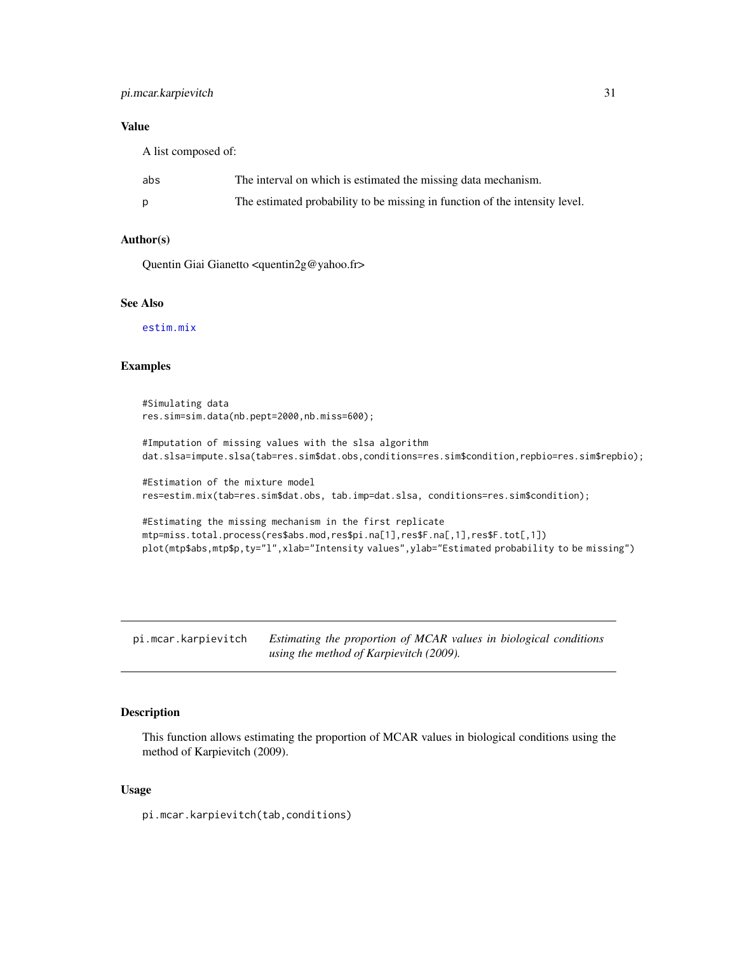#### <span id="page-30-0"></span>Value

A list composed of:

| abs | The interval on which is estimated the missing data mechanism.              |
|-----|-----------------------------------------------------------------------------|
|     | The estimated probability to be missing in function of the intensity level. |

## Author(s)

Quentin Giai Gianetto <quentin2g@yahoo.fr>

## See Also

[estim.mix](#page-3-1)

## Examples

```
#Simulating data
res.sim=sim.data(nb.pept=2000,nb.miss=600);
```
#Imputation of missing values with the slsa algorithm dat.slsa=impute.slsa(tab=res.sim\$dat.obs,conditions=res.sim\$condition,repbio=res.sim\$repbio);

```
#Estimation of the mixture model
res=estim.mix(tab=res.sim$dat.obs, tab.imp=dat.slsa, conditions=res.sim$condition);
```

```
#Estimating the missing mechanism in the first replicate
mtp=miss.total.process(res$abs.mod,res$pi.na[1],res$F.na[,1],res$F.tot[,1])
plot(mtp$abs,mtp$p,ty="l",xlab="Intensity values",ylab="Estimated probability to be missing")
```
pi.mcar.karpievitch *Estimating the proportion of MCAR values in biological conditions using the method of Karpievitch (2009).*

#### Description

This function allows estimating the proportion of MCAR values in biological conditions using the method of Karpievitch (2009).

#### Usage

pi.mcar.karpievitch(tab,conditions)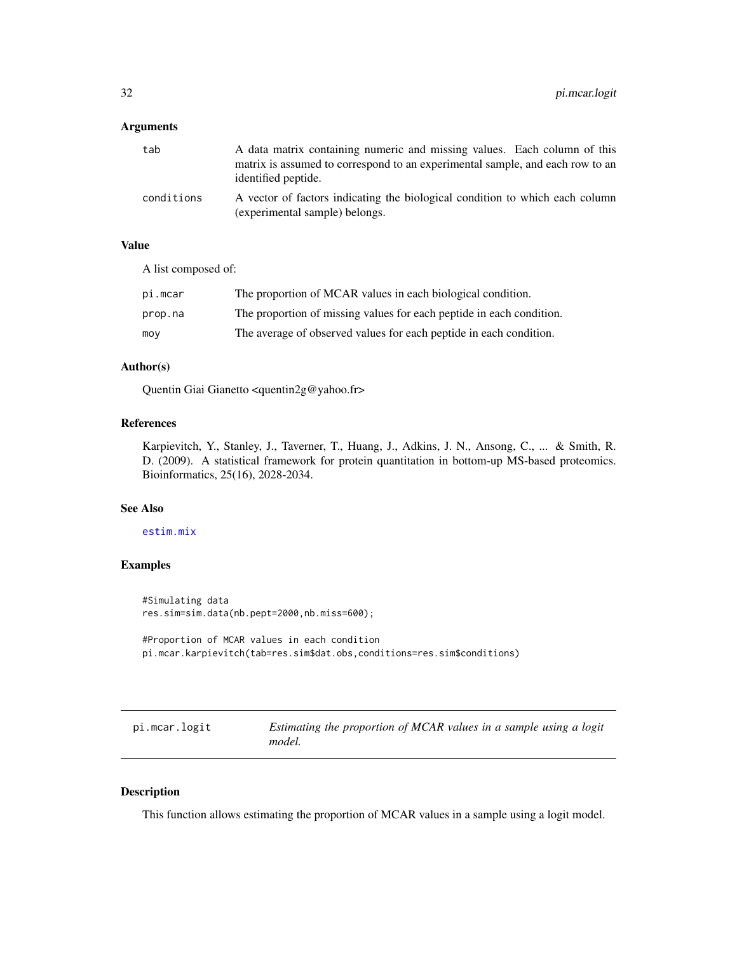#### <span id="page-31-0"></span>Arguments

| tab        | A data matrix containing numeric and missing values. Each column of this                                       |
|------------|----------------------------------------------------------------------------------------------------------------|
|            | matrix is assumed to correspond to an experimental sample, and each row to an<br>identified peptide.           |
| conditions | A vector of factors indicating the biological condition to which each column<br>(experimental sample) belongs. |

## Value

A list composed of:

| pi.mcar | The proportion of MCAR values in each biological condition.          |
|---------|----------------------------------------------------------------------|
| prop.na | The proportion of missing values for each peptide in each condition. |
| moy     | The average of observed values for each peptide in each condition.   |

## Author(s)

Quentin Giai Gianetto <quentin2g@yahoo.fr>

## References

Karpievitch, Y., Stanley, J., Taverner, T., Huang, J., Adkins, J. N., Ansong, C., ... & Smith, R. D. (2009). A statistical framework for protein quantitation in bottom-up MS-based proteomics. Bioinformatics, 25(16), 2028-2034.

## See Also

#### [estim.mix](#page-3-1)

#### Examples

#Simulating data res.sim=sim.data(nb.pept=2000,nb.miss=600);

#Proportion of MCAR values in each condition pi.mcar.karpievitch(tab=res.sim\$dat.obs,conditions=res.sim\$conditions)

| pi.mcar.logit |  |
|---------------|--|
|---------------|--|

Estimating the proportion of MCAR values in a sample using a logit *model.*

## Description

This function allows estimating the proportion of MCAR values in a sample using a logit model.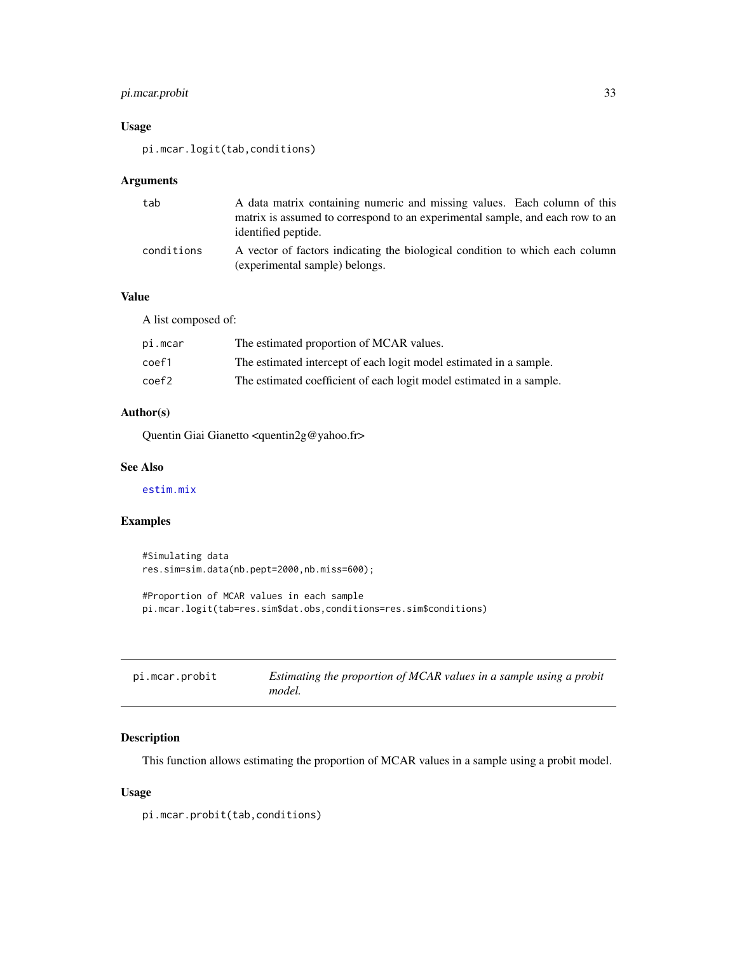## <span id="page-32-0"></span>pi.mcar.probit 33

## Usage

pi.mcar.logit(tab,conditions)

## Arguments

| tab        | A data matrix containing numeric and missing values. Each column of this                                       |
|------------|----------------------------------------------------------------------------------------------------------------|
|            | matrix is assumed to correspond to an experimental sample, and each row to an<br>identified peptide.           |
| conditions | A vector of factors indicating the biological condition to which each column<br>(experimental sample) belongs. |

## Value

A list composed of:

| pi.mcar | The estimated proportion of MCAR values.                             |
|---------|----------------------------------------------------------------------|
| coef1   | The estimated intercept of each logit model estimated in a sample.   |
| coef2   | The estimated coefficient of each logit model estimated in a sample. |

## Author(s)

Quentin Giai Gianetto <quentin2g@yahoo.fr>

## See Also

[estim.mix](#page-3-1)

## Examples

```
#Simulating data
res.sim=sim.data(nb.pept=2000,nb.miss=600);
#Proportion of MCAR values in each sample
pi.mcar.logit(tab=res.sim$dat.obs,conditions=res.sim$conditions)
```

| pi.mcar.probit | Estimating the proportion of MCAR values in a sample using a probit |
|----------------|---------------------------------------------------------------------|
|                | model.                                                              |

## Description

This function allows estimating the proportion of MCAR values in a sample using a probit model.

## Usage

pi.mcar.probit(tab,conditions)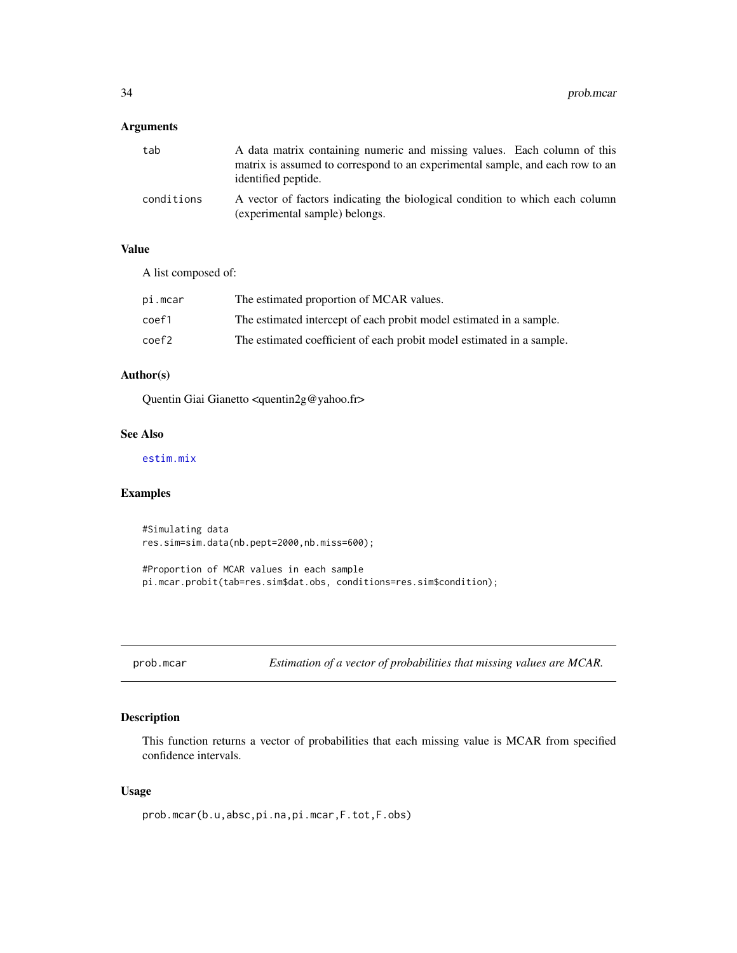## <span id="page-33-0"></span>Arguments

| tab        | A data matrix containing numeric and missing values. Each column of this                                       |
|------------|----------------------------------------------------------------------------------------------------------------|
|            | matrix is assumed to correspond to an experimental sample, and each row to an<br>identified peptide.           |
| conditions | A vector of factors indicating the biological condition to which each column<br>(experimental sample) belongs. |

## Value

A list composed of:

| pi.mcar         | The estimated proportion of MCAR values.                              |
|-----------------|-----------------------------------------------------------------------|
| coef1           | The estimated intercept of each probit model estimated in a sample.   |
| $\text{coeff}2$ | The estimated coefficient of each probit model estimated in a sample. |

#### Author(s)

Quentin Giai Gianetto <quentin2g@yahoo.fr>

#### See Also

[estim.mix](#page-3-1)

## Examples

#Simulating data res.sim=sim.data(nb.pept=2000,nb.miss=600);

#Proportion of MCAR values in each sample pi.mcar.probit(tab=res.sim\$dat.obs, conditions=res.sim\$condition);

<span id="page-33-1"></span>prob.mcar *Estimation of a vector of probabilities that missing values are MCAR.*

## Description

This function returns a vector of probabilities that each missing value is MCAR from specified confidence intervals.

#### Usage

prob.mcar(b.u,absc,pi.na,pi.mcar,F.tot,F.obs)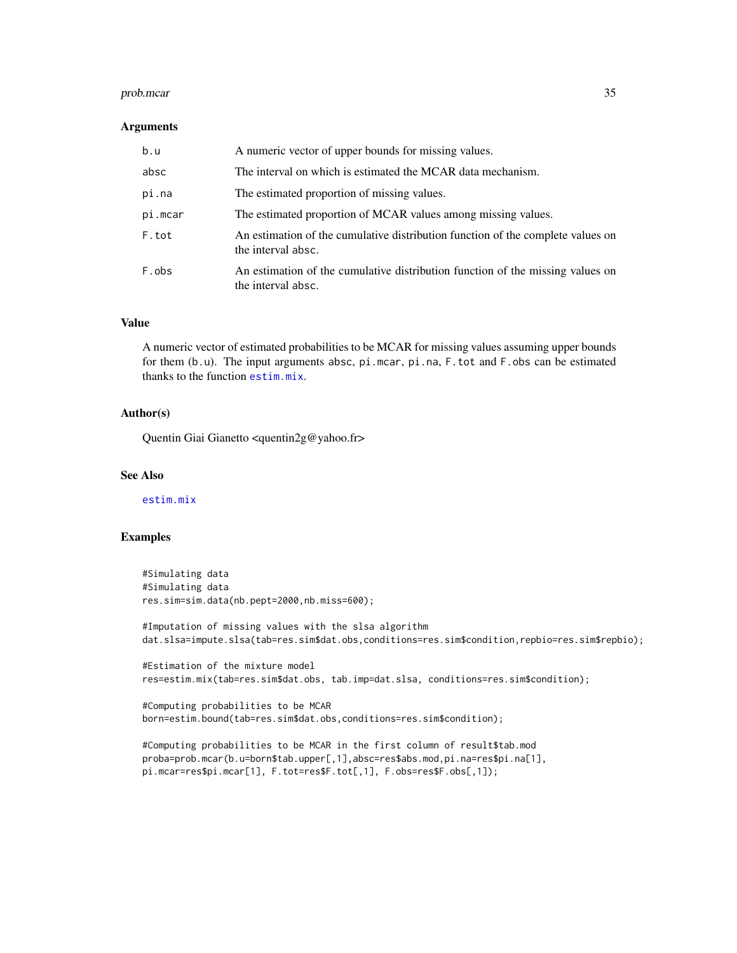#### prob.mcar 35

#### Arguments

| b.u     | A numeric vector of upper bounds for missing values.                                                  |
|---------|-------------------------------------------------------------------------------------------------------|
| absc    | The interval on which is estimated the MCAR data mechanism.                                           |
| pi.na   | The estimated proportion of missing values.                                                           |
| pi.mcar | The estimated proportion of MCAR values among missing values.                                         |
| F.tot   | An estimation of the cumulative distribution function of the complete values on<br>the interval absc. |
| F.obs   | An estimation of the cumulative distribution function of the missing values on<br>the interval absc.  |

#### Value

A numeric vector of estimated probabilities to be MCAR for missing values assuming upper bounds for them (b.u). The input arguments absc, pi.mcar, pi.na, F.tot and F.obs can be estimated thanks to the function [estim.mix](#page-3-1).

#### Author(s)

Quentin Giai Gianetto <quentin2g@yahoo.fr>

## See Also

[estim.mix](#page-3-1)

## Examples

```
#Simulating data
#Simulating data
res.sim=sim.data(nb.pept=2000,nb.miss=600);
```
#Imputation of missing values with the slsa algorithm dat.slsa=impute.slsa(tab=res.sim\$dat.obs,conditions=res.sim\$condition,repbio=res.sim\$repbio);

```
#Estimation of the mixture model
res=estim.mix(tab=res.sim$dat.obs, tab.imp=dat.slsa, conditions=res.sim$condition);
```

```
#Computing probabilities to be MCAR
born=estim.bound(tab=res.sim$dat.obs,conditions=res.sim$condition);
```
#Computing probabilities to be MCAR in the first column of result\$tab.mod proba=prob.mcar(b.u=born\$tab.upper[,1],absc=res\$abs.mod,pi.na=res\$pi.na[1], pi.mcar=res\$pi.mcar[1], F.tot=res\$F.tot[,1], F.obs=res\$F.obs[,1]);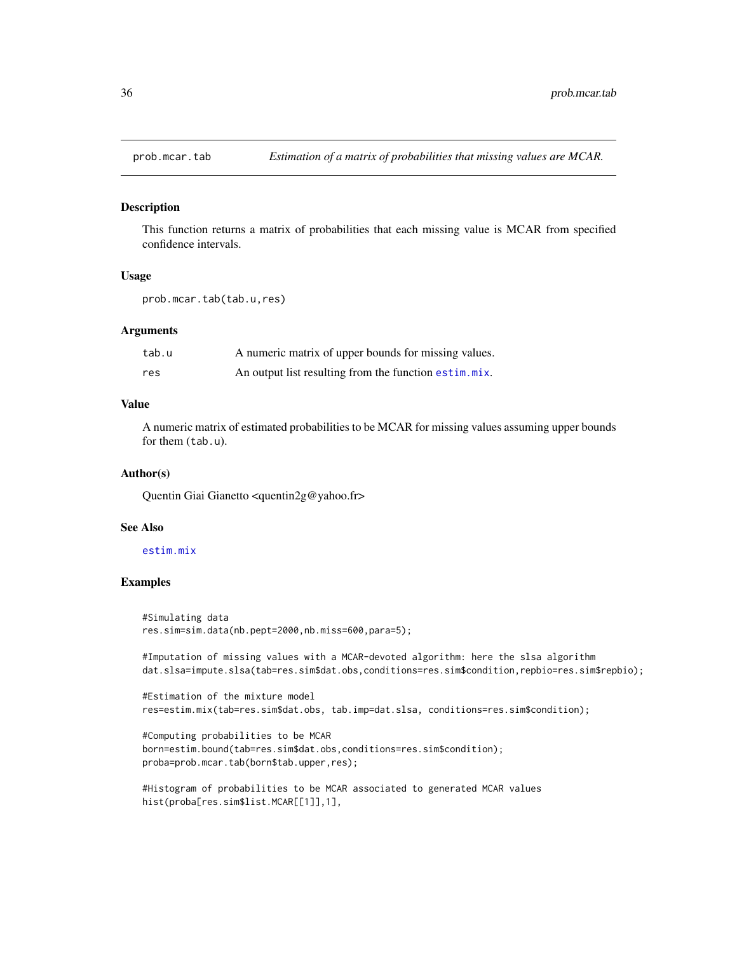<span id="page-35-1"></span><span id="page-35-0"></span>

#### Description

This function returns a matrix of probabilities that each missing value is MCAR from specified confidence intervals.

#### Usage

```
prob.mcar.tab(tab.u,res)
```
## Arguments

| tab.u | A numeric matrix of upper bounds for missing values.  |
|-------|-------------------------------------------------------|
| res   | An output list resulting from the function estim.mix. |

## Value

A numeric matrix of estimated probabilities to be MCAR for missing values assuming upper bounds for them (tab.u).

#### Author(s)

Quentin Giai Gianetto <quentin2g@yahoo.fr>

#### See Also

### [estim.mix](#page-3-1)

## Examples

```
#Simulating data
res.sim=sim.data(nb.pept=2000,nb.miss=600,para=5);
```
#Imputation of missing values with a MCAR-devoted algorithm: here the slsa algorithm dat.slsa=impute.slsa(tab=res.sim\$dat.obs,conditions=res.sim\$condition,repbio=res.sim\$repbio);

```
#Estimation of the mixture model
res=estim.mix(tab=res.sim$dat.obs, tab.imp=dat.slsa, conditions=res.sim$condition);
```

```
#Computing probabilities to be MCAR
born=estim.bound(tab=res.sim$dat.obs,conditions=res.sim$condition);
proba=prob.mcar.tab(born$tab.upper,res);
```
#Histogram of probabilities to be MCAR associated to generated MCAR values hist(proba[res.sim\$list.MCAR[[1]],1],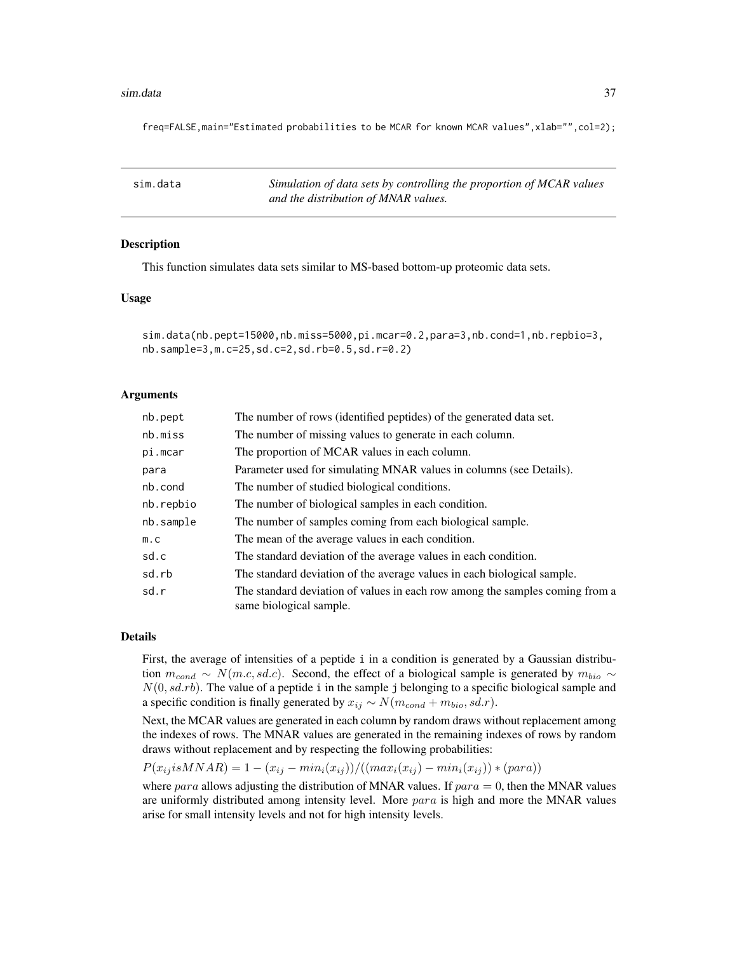#### <span id="page-36-0"></span>sim.data 37

freq=FALSE,main="Estimated probabilities to be MCAR for known MCAR values", xlab="", col=2);

| sim.data | Simulation of data sets by controlling the proportion of MCAR values |
|----------|----------------------------------------------------------------------|
|          | and the distribution of MNAR values.                                 |

#### Description

This function simulates data sets similar to MS-based bottom-up proteomic data sets.

#### Usage

```
sim.data(nb.pept=15000,nb.miss=5000,pi.mcar=0.2,para=3,nb.cond=1,nb.repbio=3,
nb.sample=3,m.c=25,sd.c=2,sd.rb=0.5,sd.r=0.2)
```
#### Arguments

| nb.pept   | The number of rows (identified peptides) of the generated data set.                                     |
|-----------|---------------------------------------------------------------------------------------------------------|
| nb.miss   | The number of missing values to generate in each column.                                                |
| pi.mcar   | The proportion of MCAR values in each column.                                                           |
| para      | Parameter used for simulating MNAR values in columns (see Details).                                     |
| nb.cond   | The number of studied biological conditions.                                                            |
| nb.repbio | The number of biological samples in each condition.                                                     |
| nb.sample | The number of samples coming from each biological sample.                                               |
| m.c       | The mean of the average values in each condition.                                                       |
| sd.c      | The standard deviation of the average values in each condition.                                         |
| sd.rb     | The standard deviation of the average values in each biological sample.                                 |
| sd.r      | The standard deviation of values in each row among the samples coming from a<br>same biological sample. |

#### Details

First, the average of intensities of a peptide i in a condition is generated by a Gaussian distribution  $m_{cond} \sim N(m.c, sd.c)$ . Second, the effect of a biological sample is generated by  $m_{bio} \sim$  $N(0, s d.r b)$ . The value of a peptide i in the sample j belonging to a specific biological sample and a specific condition is finally generated by  $x_{ij} \sim N(m_{cond} + m_{bio}, sd.r)$ .

Next, the MCAR values are generated in each column by random draws without replacement among the indexes of rows. The MNAR values are generated in the remaining indexes of rows by random draws without replacement and by respecting the following probabilities:

$$
P(x_{ij}isMNAR) = 1 - (x_{ij} - min_i(x_{ij})) / ((max_i(x_{ij}) - min_i(x_{ij})) * (para))
$$

where para allows adjusting the distribution of MNAR values. If  $para = 0$ , then the MNAR values are uniformly distributed among intensity level. More para is high and more the MNAR values arise for small intensity levels and not for high intensity levels.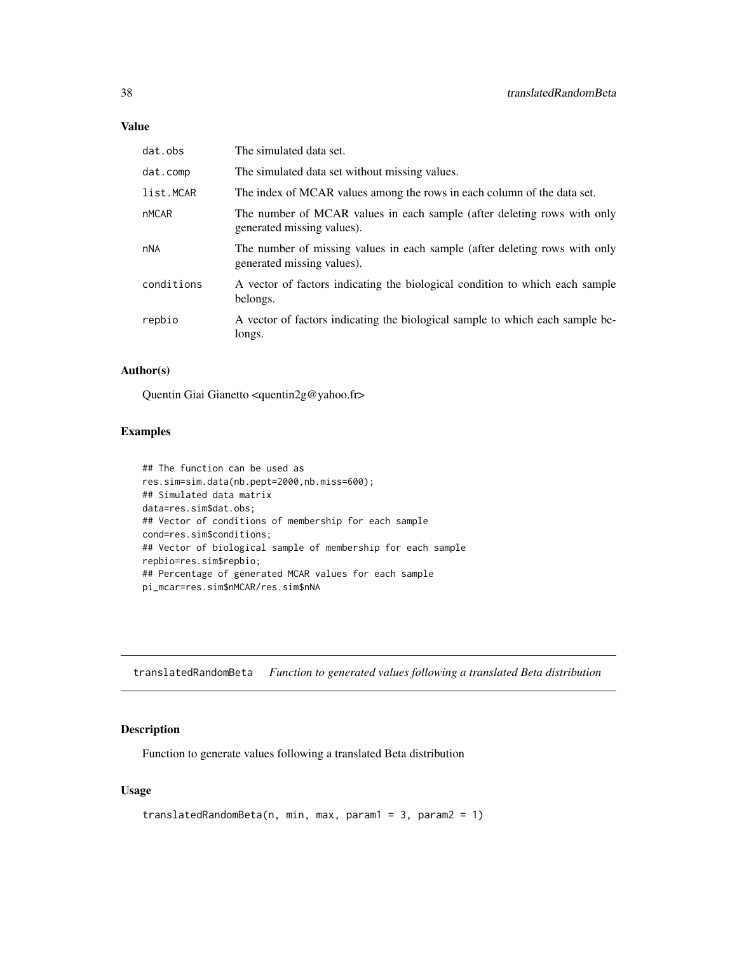<span id="page-37-0"></span>

| dat.obs      | The simulated data set.                                                                                  |
|--------------|----------------------------------------------------------------------------------------------------------|
| dat.comp     | The simulated data set without missing values.                                                           |
| list.MCAR    | The index of MCAR values among the rows in each column of the data set.                                  |
| <b>nMCAR</b> | The number of MCAR values in each sample (after deleting rows with only<br>generated missing values).    |
| nNA          | The number of missing values in each sample (after deleting rows with only<br>generated missing values). |
| conditions   | A vector of factors indicating the biological condition to which each sample<br>belongs.                 |
| repbio       | A vector of factors indicating the biological sample to which each sample be-<br>longs.                  |

## Author(s)

Quentin Giai Gianetto <quentin2g@yahoo.fr>

## Examples

```
## The function can be used as
res.sim=sim.data(nb.pept=2000,nb.miss=600);
## Simulated data matrix
data=res.sim$dat.obs;
## Vector of conditions of membership for each sample
cond=res.sim$conditions;
## Vector of biological sample of membership for each sample
repbio=res.sim$repbio;
## Percentage of generated MCAR values for each sample
pi_mcar=res.sim$nMCAR/res.sim$nNA
```
translatedRandomBeta *Function to generated values following a translated Beta distribution*

## Description

Function to generate values following a translated Beta distribution

## Usage

```
translatedRandomBeta(n, min, max, param1 = 3, param2 = 1)
```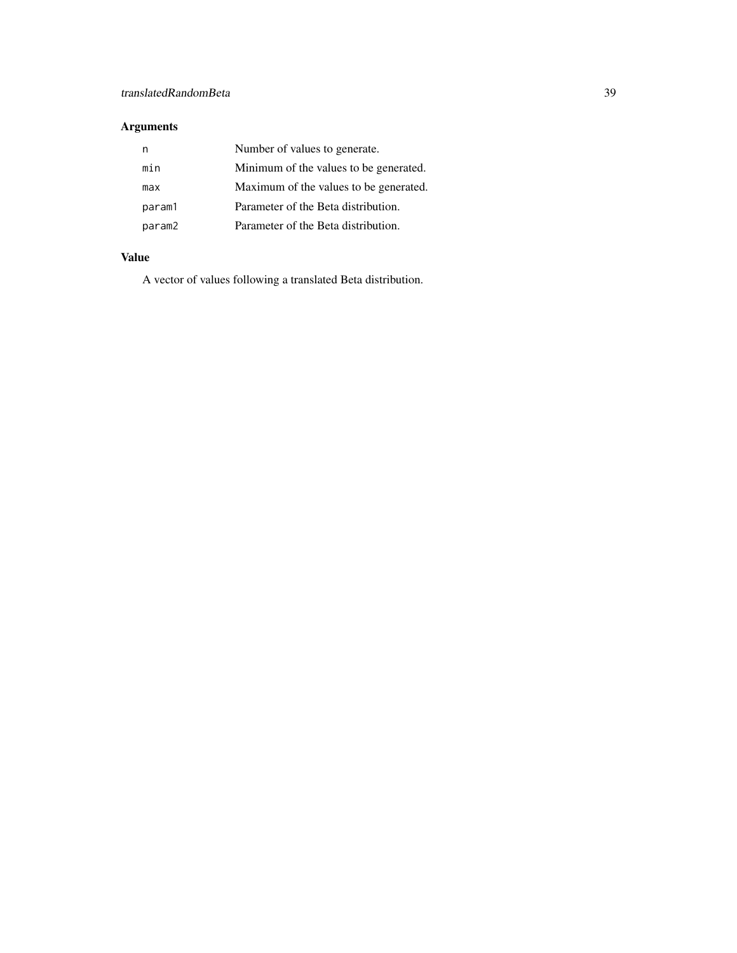## Arguments

| n      | Number of values to generate.          |
|--------|----------------------------------------|
| min    | Minimum of the values to be generated. |
| max    | Maximum of the values to be generated. |
| param1 | Parameter of the Beta distribution.    |
| param2 | Parameter of the Beta distribution.    |

## Value

A vector of values following a translated Beta distribution.